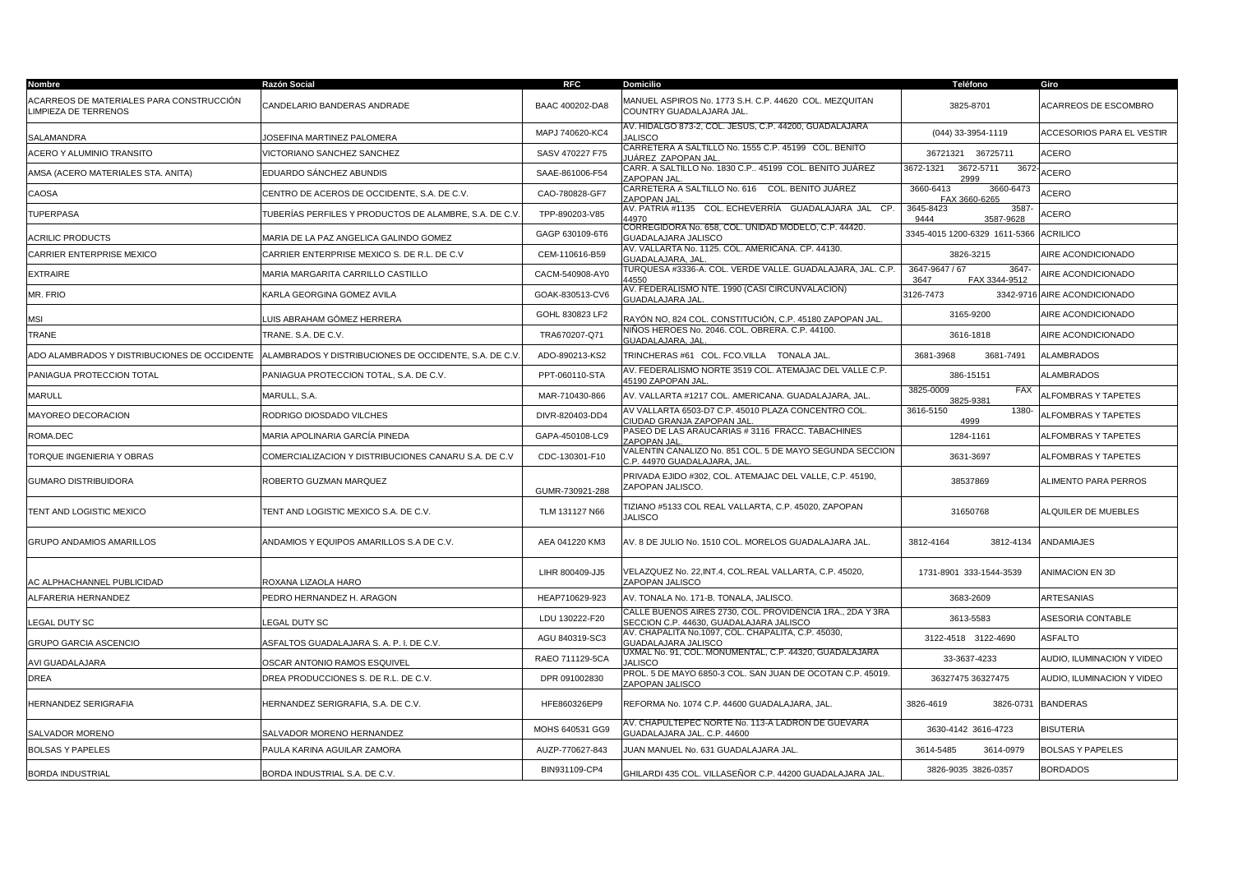| Nombre                                                           | Razón Social                                          | <b>RFC</b>      | <b>Domicilio</b>                                                                                     | Teléfono                                        | Giro                         |
|------------------------------------------------------------------|-------------------------------------------------------|-----------------|------------------------------------------------------------------------------------------------------|-------------------------------------------------|------------------------------|
| ACARREOS DE MATERIALES PARA CONSTRUCCIÓN<br>LIMPIEZA DE TERRENOS | CANDELARIO BANDERAS ANDRADE                           | BAAC 400202-DA8 | MANUEL ASPIROS No. 1773 S.H. C.P. 44620 COL. MEZQUITAN<br>COUNTRY GUADALAJARA JAL.                   | 3825-8701                                       | <b>ACARREOS DE ESCOMBRO</b>  |
| SALAMANDRA                                                       | JOSEFINA MARTINEZ PALOMERA                            | MAPJ 740620-KC4 | AV. HIDALGO 873-2, COL. JESUS, C.P. 44200, GUADALAJARA<br><b>JALISCO</b>                             | (044) 33-3954-1119                              | ACCESORIOS PARA EL VESTIR    |
| ACERO Y ALUMINIO TRANSITO                                        | VICTORIANO SANCHEZ SANCHEZ                            | SASV 470227 F75 | CARRETERA A SALTILLO No. 1555 C.P. 45199 COL. BENITO<br>IUÁREZ <u>ZAPOPAN JAI</u>                    | 36721321 36725711                               | ACERO                        |
| AMSA (ACERO MATERIALES STA. ANITA)                               | EDUARDO SÁNCHEZ ABUNDIS                               | SAAE-861006-F54 | CARR. A SALTILLO No. 1830 C.P 45199 COL. BENITO JUÁREZ<br>ZAPOPAN JAL                                | 3672-1321<br>3672-5711<br>3672<br>2999          | ACERO                        |
| CAOSA                                                            | CENTRO DE ACEROS DE OCCIDENTE, S.A. DE C.V.           | CAO-780828-GF7  | CARRETERA A SALTILLO No. 616  COL. BENITO JUÁREZ<br>ZAPOPAN JAL                                      | 3660-6413<br>3660-6473<br>FAX 3660-6265         | <b>ACERO</b>                 |
| <b>TUPERPASA</b>                                                 | TUBERÍAS PERFILES Y PRODUCTOS DE ALAMBRE. S.A. DE C.V | TPP-890203-V85  | AV. PATRIA #1135   COL. ECHEVERRÍA   GUADALAJARA JAL   CP.<br>44970                                  | 3587<br>3645-8423<br>9444<br>3587-9628          | ACERO                        |
| <b>ACRILIC PRODUCTS</b>                                          | MARIA DE LA PAZ ANGELICA GALINDO GOMEZ                | GAGP 630109-6T6 | CORREGIDORA No. 658, COL. UNIDAD MODELO, C.P. 44420.<br>GUADALAJARA JALISCO                          | 3345-4015 1200-6329 1611-5366                   | <b>ACRILICO</b>              |
| CARRIER ENTERPRISE MEXICO                                        | CARRIER ENTERPRISE MEXICO S. DE R.L. DE C.V           | CEM-110616-B59  | AV. VALLARTA No. 1125. COL. AMERICANA. CP. 44130.<br><b>GUADALAJARA, JAL</b>                         | 3826-3215                                       | AIRE ACONDICIONADO           |
| <b>EXTRAIRE</b>                                                  | MARIA MARGARITA CARRILLO CASTILLO                     | CACM-540908-AY0 | TURQUESA #3336-A. COL. VERDE VALLE. GUADALAJARA, JAL. C.P.<br>14550                                  | 3647-9647 / 67<br>3647<br>FAX 3344-9512<br>3647 | <b>NRE ACONDICIONADO</b>     |
| MR. FRIO                                                         | KARLA GEORGINA GOMEZ AVILA                            | GOAK-830513-CV6 | AV. FEDERALISMO NTE. 1990 (CASI CIRCUNVALACION)<br><b>GUADALAJARA JAL</b>                            | 3126-7473                                       | 3342-9716 AIRE ACONDICIONADO |
| MSI                                                              | LUIS ABRAHAM GÓMEZ HERRERA                            | GOHL 830823 LF2 | RAYÓN NO, 824 COL. CONSTITUCIÓN, C.P. 45180 ZAPOPAN JAL                                              | 3165-9200                                       | AIRE ACONDICIONADO           |
| TRANE                                                            | TRANE, S.A. DE C.V.                                   | TRA670207-Q71   | NIÑOS HEROES No. 2046. COL. OBRERA. C.P. 44100.<br><b>GUADALAJARA, JAL</b>                           | 3616-1818                                       | AIRE ACONDICIONADO           |
| ADO ALAMBRADOS Y DISTRIBUCIONES DE OCCIDENTE                     | ALAMBRADOS Y DISTRIBUCIONES DE OCCIDENTE, S.A. DE C.V | ADO-890213-KS2  | TRINCHERAS #61 COL. FCO.VILLA TONALA JAL.                                                            | 3681-3968<br>3681-7491                          | <b>ALAMBRADOS</b>            |
| PANIAGUA PROTECCION TOTAL                                        | PANIAGUA PROTECCION TOTAL, S.A. DE C.V.               | PPT-060110-STA  | AV. FEDERALISMO NORTE 3519 COL. ATEMAJAC DEL VALLE C.P.<br>45190 ZAPOPAN JAI                         | 386-15151                                       | <b>ALAMBRADOS</b>            |
| <b>MARULL</b>                                                    | MARULL, S.A.                                          | MAR-710430-866  | AV. VALLARTA #1217 COL. AMERICANA. GUADALAJARA, JAL.                                                 | 3825-0009<br><b>FAX</b><br>3825-9381            | <b>ALFOMBRAS Y TAPETES</b>   |
| MAYOREO DECORACION                                               | RODRIGO DIOSDADO VILCHES                              | DIVR-820403-DD4 | AV VALLARTA 6503-D7 C.P. 45010 PLAZA CONCENTRO COL.<br>CIUDAD GRANJA ZAPOPAN JAL                     | 3616-5150<br>1380-<br>4999                      | ALFOMBRAS Y TAPETES          |
| ROMA.DEC                                                         | MARIA APOLINARIA GARCÍA PINEDA                        | GAPA-450108-LC9 | PASEO DE LAS ARAUCARIAS # 3116 FRACC. TABACHINES<br><b>ZAPOPAN JAL</b>                               | 1284-1161                                       | ALFOMBRAS Y TAPETES          |
| TORQUE INGENIERIA Y OBRAS                                        | COMERCIALIZACION Y DISTRIBUCIONES CANARU S.A. DE C.V  | CDC-130301-F10  | /ALENTIN CANALIZO No. 851 COL. 5 DE MAYO SEGUNDA SECCION<br>C.P. 44970 GUADALAJARA, JAL              | 3631-3697                                       | ALFOMBRAS Y TAPETES          |
| GUMARO DISTRIBUIDORA                                             | ROBERTO GUZMAN MARQUEZ                                | GUMR-730921-288 | PRIVADA EJIDO #302. COL. ATEMAJAC DEL VALLE, C.P. 45190.<br>ZAPOPAN JALISCO.                         | 38537869                                        | ALIMENTO PARA PERROS         |
| TENT AND LOGISTIC MEXICO                                         | TENT AND LOGISTIC MEXICO S.A. DE C.V.                 | TLM 131127 N66  | TIZIANO #5133 COL REAL VALLARTA, C.P. 45020, ZAPOPAN<br><b>JALISCO</b>                               | 31650768                                        | <b>ILQUILER DE MUEBLES</b>   |
| <b>GRUPO ANDAMIOS AMARILLOS</b>                                  | ANDAMIOS Y EQUIPOS AMARILLOS S.A DE C.V.              | AEA 041220 KM3  | AV. 8 DE JULIO No. 1510 COL. MORELOS GUADALAJARA JAL.                                                | 3812-4134<br>3812-4164                          | <b>ANDAMIAJES</b>            |
| AC ALPHACHANNEL PUBLICIDAD                                       | ROXANA LIZAOLA HARO                                   | LIHR 800409-JJ5 | VELAZQUEZ No. 22, INT.4, COL.REAL VALLARTA, C.P. 45020,<br>ZAPOPAN JALISCO                           | 1731-8901 333-1544-3539                         | ANIMACION EN 3D              |
| ALFARERIA HERNANDEZ                                              | PEDRO HERNANDEZ H. ARAGON                             | HEAP710629-923  | AV. TONALA No. 171-B. TONALA, JALISCO.                                                               | 3683-2609                                       | ARTESANIAS                   |
| LEGAL DUTY SC                                                    | EGAL DUTY SC.                                         | LDU 130222-F20  | CALLE BUENOS AIRES 2730, COL. PROVIDENCIA 1RA., 2DA Y 3RA<br>SECCION C.P. 44630, GUADALAJARA JALISCO | 3613-5583                                       | ASESORIA CONTABLE            |
| GRUPO GARCIA ASCENCIO                                            | ASFALTOS GUADALAJARA S. A. P. I. DE C.V.              | AGU 840319-SC3  | AV. CHAPALITA No.1097, COL. CHAPALITA, C.P. 45030,<br>GUADALAJARA JALISCO                            | 3122-4518 3122-4690                             | <b>ASFALTO</b>               |
| AVI GUADALAJARA                                                  | OSCAR ANTONIO RAMOS ESQUIVEL                          | RAEO 711129-5CA | UXMAL No. 91, COL. MONUMENTAL, C.P. 44320, GUADALAJARA<br><b>JALISCO</b>                             | 33-3637-4233                                    | AUDIO, ILUMINACION Y VIDEO   |
| DREA                                                             | DREA PRODUCCIONES S. DE R.L. DE C.V.                  | DPR 091002830   | PROL. 5 DE MAYO 6850-3 COL. SAN JUAN DE OCOTAN C.P. 45019.<br>ZAPOPAN JALISCO                        | 36327475 36327475                               | AUDIO. ILUMINACION Y VIDEO   |
| HERNANDEZ SERIGRAFIA                                             | HERNANDEZ SERIGRAFIA, S.A. DE C.V.                    | HFE860326EP9    | REFORMA No. 1074 C.P. 44600 GUADALAJARA, JAL.                                                        | 3826-4619<br>3826-0731                          | <b>BANDERAS</b>              |
| SALVADOR MORENO                                                  | SALVADOR MORENO HERNANDEZ                             | MOHS 640531 GG9 | AV. CHAPULTEPEC NORTE No. 113-A LADRON DE GUEVARA<br>GUADALAJARA JAL. C.P. 44600                     | 3630-4142 3616-4723                             | <b>BISUTERIA</b>             |
| <b>BOLSAS Y PAPELES</b>                                          | PAULA KARINA AGUILAR ZAMORA                           | AUZP-770627-843 | JUAN MANUEL No. 631 GUADALAJARA JAL.                                                                 | 3614-5485<br>3614-0979                          | <b>BOLSAS Y PAPELES</b>      |
| <b>BORDA INDUSTRIAL</b>                                          | BORDA INDUSTRIAL S.A. DE C.V.                         | BIN931109-CP4   | GHILARDI 435 COL. VILLASEÑOR C.P. 44200 GUADALAJARA JAL                                              | 3826-9035 3826-0357                             | <b>BORDADOS</b>              |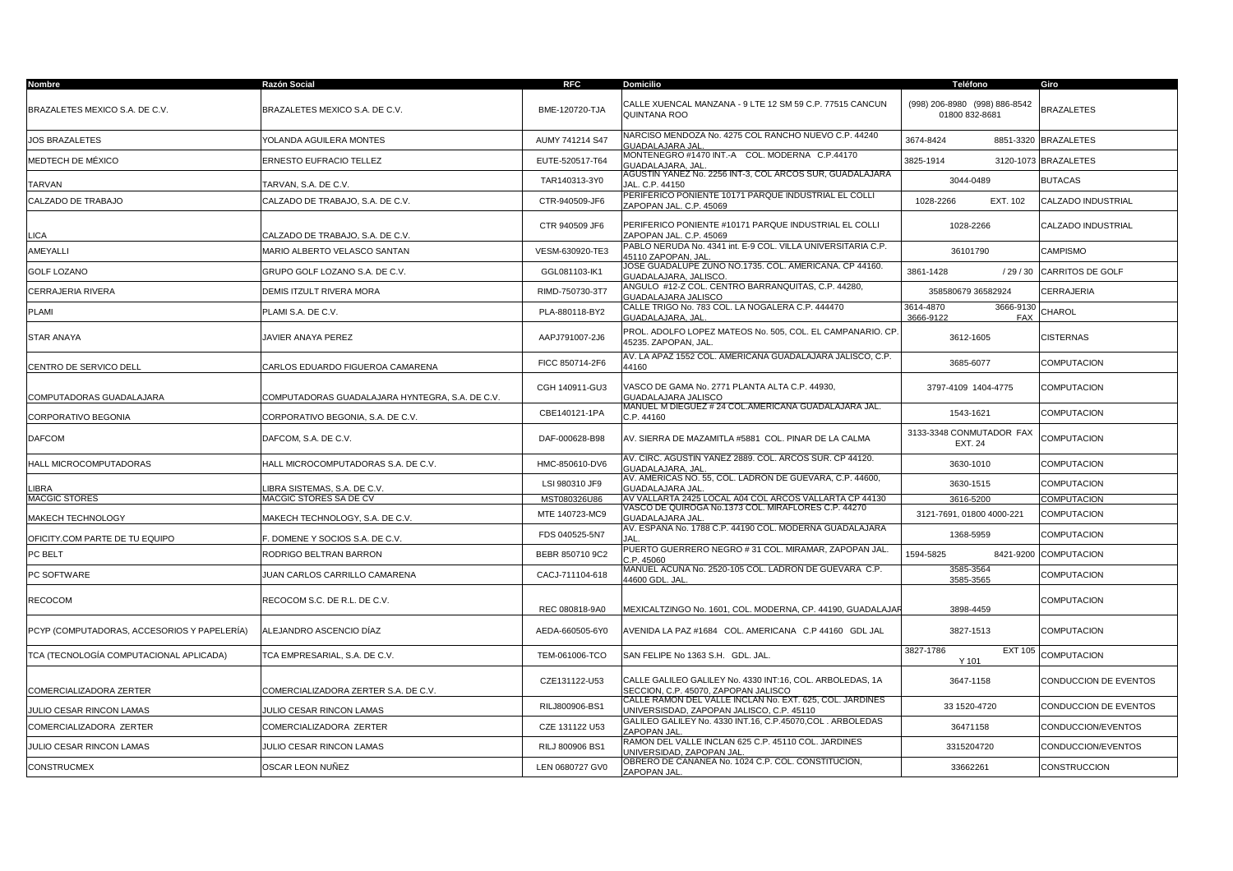| Nombre                                      | Razón Social                                    | <b>RFC</b>      | <b>Domicilio</b>                                                                                      | Teléfono                                          | Giro                    |
|---------------------------------------------|-------------------------------------------------|-----------------|-------------------------------------------------------------------------------------------------------|---------------------------------------------------|-------------------------|
| BRAZALETES MEXICO S.A. DE C.V.              | BRAZALETES MEXICO S.A. DE C.V.                  | BME-120720-TJA  | CALLE XUENCAL MANZANA - 9 LTE 12 SM 59 C.P. 77515 CANCUN<br>QUINTANA ROO                              | (998) 206-8980 (998) 886-8542<br>01800 832-8681   | <b>BRAZALETES</b>       |
| <b>JOS BRAZALETES</b>                       | YOLANDA AGUILERA MONTES                         | AUMY 741214 S47 | NARCISO MENDOZA No. 4275 COL RANCHO NUEVO C.P. 44240<br>GUADALAJARA JAL                               | 3674-8424                                         | 8851-3320 BRAZALETES    |
| MEDTECH DE MÉXICO                           | ERNESTO EUFRACIO TELLEZ                         | EUTE-520517-T64 | MONTENEGRO #1470 INT.-A COL. MODERNA C.P.44170<br><b>GUADALAJARA, JAL</b>                             | 3825-1914                                         | 3120-1073 BRAZALETES    |
| TARVAN                                      | TARVAN, S.A. DE C.V.                            | TAR140313-3Y0   | AGUSTIN YANEZ No. 2256 INT-3, COL ARCOS SUR, GUADALAJARA<br>JAL. C.P. 44150                           | 3044-0489                                         | <b>BUTACAS</b>          |
| CALZADO DE TRABAJO                          | CALZADO DE TRABAJO. S.A. DE C.V.                | CTR-940509-JF6  | PERIFÉRICO PONIENTE 10171 PARQUE INDUSTRIAL EL COLLI<br>ZAPOPAN JAL, C.P. 45069                       | EXT. 102<br>1028-2266                             | CALZADO INDUSTRIAL      |
| <b>LICA</b>                                 | CALZADO DE TRABAJO, S.A. DE C.V.                | CTR 940509 JF6  | PERIFERICO PONIENTE #10171 PARQUE INDUSTRIAL EL COLLI<br>ZAPOPAN JAL. C.P. 45069                      | 1028-2266                                         | CALZADO INDUSTRIAL      |
| AMEYALLI                                    | MARIO ALBERTO VELASCO SANTAN                    | VESM-630920-TE3 | PABLO NERUDA No. 4341 int. E-9 COL. VILLA UNIVERSITARIA C.P.<br>45110 ZAPOPAN, JAI                    | 36101790                                          | <b>CAMPISMO</b>         |
| <b>GOLF LOZANO</b>                          | GRUPO GOLF LOZANO S.A. DE C.V.                  | GGL081103-IK1   | JOSE GUADALUPE ZUNO NO.1735. COL. AMERICANA. CP 44160.<br>GUADALAJARA, JALISCO                        | 3861-1428<br>/29/30                               | <b>CARRITOS DE GOLF</b> |
| CERRAJERIA RIVERA                           | DEMIS ITZULT RIVERA MORA                        | RIMD-750730-3T7 | ANGULO #12-Z COL. CENTRO BARRANQUITAS, C.P. 44280,<br>GUADALAJARA JALISCO                             | 358580679 36582924                                | CERRAJERIA              |
| PLAMI                                       | PLAMI S.A. DE C.V.                              | PLA-880118-BY2  | CALLE TRIGO No. 783 COL. LA NOGALERA C.P. 444470<br>GUADALAJARA, JAL                                  | 3614-4870<br>3666-9130<br>3666-9122<br><b>FAX</b> | CHAROL                  |
| STAR ANAYA                                  | JAVIER ANAYA PEREZ                              | AAPJ791007-2J6  | PROL. ADOLFO LOPEZ MATEOS No. 505. COL. EL CAMPANARIO. CP.<br>45235. ZAPOPAN, JAL.                    | 3612-1605                                         | <b>CISTERNAS</b>        |
| CENTRO DE SERVICO DELL                      | CARLOS EDUARDO FIGUEROA CAMARENA                | FICC 850714-2F6 | AV. LA APAZ 1552 COL. AMERICANA GUADALAJARA JALISCO, C.P.<br>44160                                    | 3685-6077                                         | <b>COMPUTACION</b>      |
| COMPUTADORAS GUADALAJARA                    | COMPUTADORAS GUADALAJARA HYNTEGRA, S.A. DE C.V. | CGH 140911-GU3  | VASCO DE GAMA No. 2771 PLANTA ALTA C.P. 44930,<br>GUADALAJARA JALISCO                                 | 3797-4109 1404-4775                               | <b>COMPUTACION</b>      |
| CORPORATIVO BEGONIA                         | CORPORATIVO BEGONIA, S.A. DE C.V.               | CBE140121-1PA   | MANUEL M DIEGUEZ # 24 COL.AMERICANA GUADALAJARA JAL.<br>C.P. 44160                                    | 1543-1621                                         | <b>COMPUTACION</b>      |
| <b>DAFCOM</b>                               | DAFCOM, S.A. DE C.V.                            | DAF-000628-B98  | AV. SIERRA DE MAZAMITLA #5881 COL. PINAR DE LA CALMA                                                  | 3133-3348 CONMUTADOR FAX<br><b>EXT. 24</b>        | <b>COMPUTACION</b>      |
| HALL MICROCOMPUTADORAS                      | HALL MICROCOMPUTADORAS S.A. DE C.V.             | HMC-850610-DV6  | 4V. CIRC. AGUSTIN YAÑEZ 2889. COL. ARCOS SUR. CP 44120.<br><b>GUADALAJARA, JAL</b>                    | 3630-1010                                         | <b>COMPUTACION</b>      |
| LIBRA                                       | IBRA SISTEMAS, S.A. DE C.V.                     | LSI 980310 JF9  | AV. AMERICAS NO. 55, COL. LADRON DE GUEVARA, C.P. 44600,<br>GUADALAJARA JAL                           | 3630-1515                                         | <b>COMPUTACION</b>      |
| <b>MACGIC STORES</b>                        | MACGIC STORES SA DE CV                          | MST080326U86    | AV VALLARTA 2425 LOCAL A04 COL ARCOS VALLARTA CP 44130                                                | 3616-5200                                         | <b>COMPUTACION</b>      |
| MAKECH TECHNOLOGY                           | <b>MAKECH TECHNOLOGY, S.A. DE C.V.</b>          | MTE 140723-MC9  | /ASCO DE QUIROGA No.1373 COL. MIRAFLORES C.P. 44270<br>GUADALAJARA JAL                                | 3121-7691, 01800 4000-221                         | <b>COMPUTACION</b>      |
| OFICITY.COM PARTE DE TU EQUIPO              | . DOMENE Y SOCIOS S.A. DE C.V.                  | FDS 040525-5N7  | AV. ESPANA No. 1788 C.P. 44190 COL. MODERNA GUADALAJARA<br>IΔΙ                                        | 1368-5959                                         | COMPUTACION             |
| PC BELT                                     | RODRIGO BELTRAN BARRON                          | BEBR 850710 9C2 | PUERTO GUERRERO NEGRO # 31 COL. MIRAMAR. ZAPOPAN JAL<br>C.P. 45060                                    | 1594-5825<br>8421-9200                            | <b>COMPUTACION</b>      |
| PC SOFTWARE                                 | <b>JUAN CARLOS CARRILLO CAMARENA</b>            | CACJ-711104-618 | MANUEL ACUÑA No. 2520-105 COL. LADRON DE GUEVARA  C.P.<br>44600 GDL, JAL                              | 3585-3564<br>3585-3565                            | <b>COMPUTACION</b>      |
| <b>RECOCOM</b>                              | RECOCOM S.C. DE R.L. DE C.V.                    | REC 080818-9A0  | MEXICALTZINGO No. 1601, COL. MODERNA, CP. 44190, GUADALAJAF                                           | 3898-4459                                         | <b>COMPUTACION</b>      |
| PCYP (COMPUTADORAS, ACCESORIOS Y PAPELERÍA) | ALEJANDRO ASCENCIO DÍAZ                         | AEDA-660505-6Y0 | AVENIDA LA PAZ #1684   COL. AMERICANA   C.P 44160   GDL JAL                                           | 3827-1513                                         | <b>COMPUTACION</b>      |
| TCA (TECNOLOGÍA COMPUTACIONAL APLICADA)     | TCA EMPRESARIAL, S.A. DE C.V.                   | TEM-061006-TCO  | SAN FELIPE No 1363 S.H. GDL. JAL.                                                                     | 3827-1786<br><b>EXT 105</b><br>Y 101              | <b>COMPUTACION</b>      |
| <b>COMERCIALIZADORA ZERTER</b>              | COMERCIALIZADORA ZERTER S.A. DE C.V.            | CZE131122-U53   | CALLE GALILEO GALILEY No. 4330 INT:16, COL. ARBOLEDAS, 1A<br>SECCION, C.P. 45070, ZAPOPAN JALISCO     | 3647-1158                                         | CONDUCCION DE EVENTOS   |
| JULIO CESAR RINCON LAMAS                    | <b>JULIO CESAR RINCON LAMAS</b>                 | RILJ800906-BS1  | CALLE RAMON DEL VALLE INCLAN No. EXT. 625, COL. JARDINES<br>UNIVERSISDAD, ZAPOPAN JALISCO, C.P. 45110 | 33 1520-4720                                      | CONDUCCION DE EVENTOS   |
| COMERCIALIZADORA ZERTER                     | COMERCIALIZADORA ZERTER                         | CZE 131122 U53  | GALILEO GALILEY No. 4330 INT.16, C.P.45070,COL. ARBOLEDAS<br>ZAPOPAN JAL                              | 36471158                                          | CONDUCCION/EVENTOS      |
| JULIO CESAR RINCON LAMAS                    | JULIO CESAR RINCON LAMAS                        | RILJ 800906 BS1 | RAMON DEL VALLE INCLAN 625 C.P. 45110 COL. JARDINES<br>UNIVERSIDAD, ZAPOPAN JAL                       | 3315204720                                        | CONDUCCION/EVENTOS      |
| CONSTRUCMEX                                 | OSCAR LEON NUÑEZ                                | LEN 0680727 GV0 | OBRERO DE CANANEA No. 1024 C.P. COL. CONSTITUCION,<br>ZAPOPAN JAL                                     | 33662261                                          | <b>CONSTRUCCION</b>     |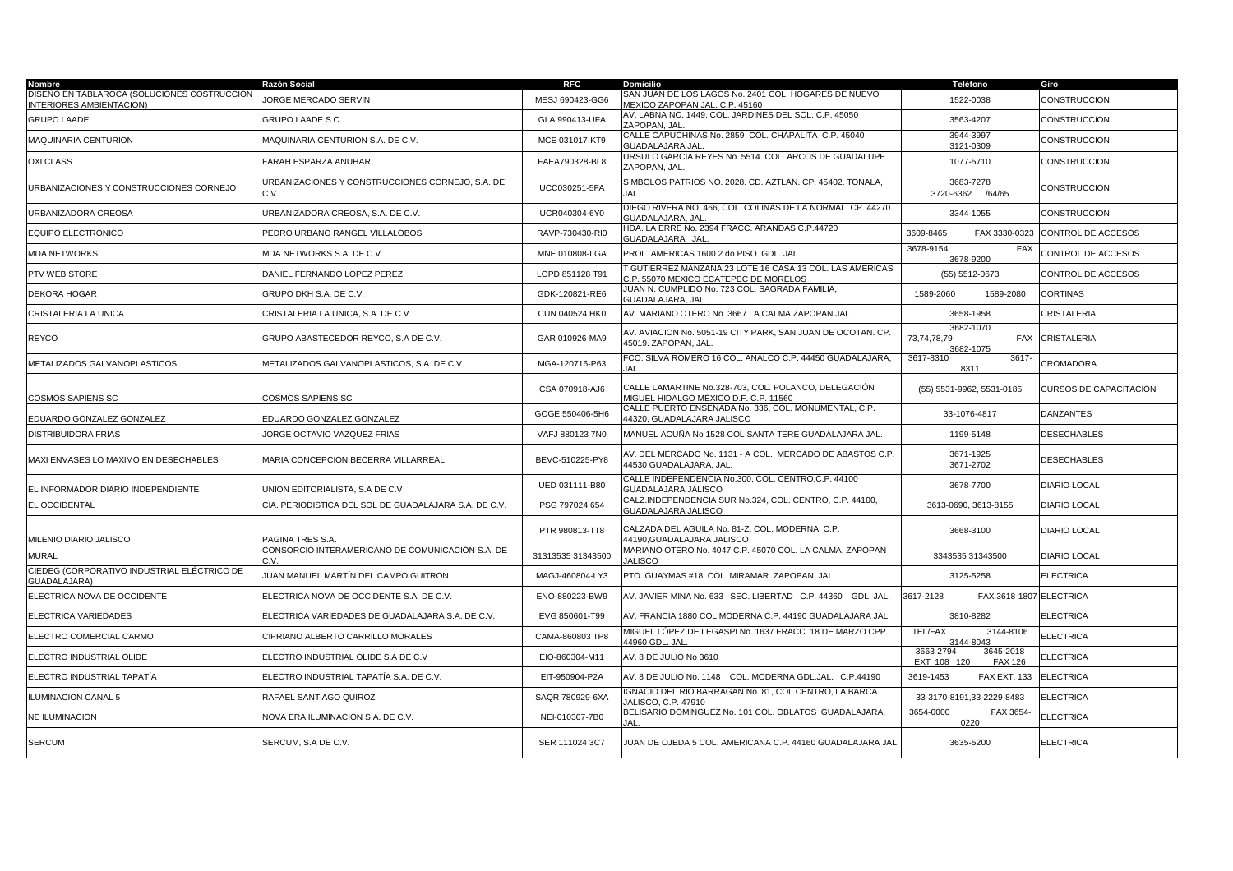| Nombre                                                                  | Razón Social                                             | <b>RFC</b>        | <b>Domicilio</b>                                                                                | Teléfono                                                | Giro                          |
|-------------------------------------------------------------------------|----------------------------------------------------------|-------------------|-------------------------------------------------------------------------------------------------|---------------------------------------------------------|-------------------------------|
| DISEÑO EN TABLAROCA (SOLUCIONES COSTRUCCION<br>INTERIORES AMBIENTACION) | JORGE MERCADO SERVIN                                     | MESJ 690423-GG6   | SAN JUAN DE LOS LAGOS No. 2401 COL. HOGARES DE NUEVO<br>MEXICO ZAPOPAN JAL. C.P. 45160          | 1522-0038                                               | CONSTRUCCION                  |
| <b>GRUPO LAADE</b>                                                      | GRUPO LAADE S.C.                                         | GLA 990413-UFA    | AV. LABNA NO. 1449. COL. JARDINES DEL SOL. C.P. 45050<br>ZAPOPAN, JAL                           | 3563-4207                                               | CONSTRUCCION                  |
| <b>MAQUINARIA CENTURION</b>                                             | MAQUINARIA CENTURION S.A. DE C.V.                        | MCE 031017-KT9    | CALLE CAPUCHINAS No. 2859 COL. CHAPALITA C.P. 45040<br><b>GUADALAJARA JAL</b>                   | 3944-3997<br>3121-0309                                  | CONSTRUCCION                  |
| <b>OXI CLASS</b>                                                        | ARAH ESPARZA ANUHAR                                      | FAEA790328-BL8    | URSULO GARCIA REYES No. 5514. COL. ARCOS DE GUADALUPE.<br>ZAPOPAN, JAL                          | 1077-5710                                               | CONSTRUCCION                  |
| URBANIZACIONES Y CONSTRUCCIONES CORNEJO                                 | JRBANIZACIONES Y CONSTRUCCIONES CORNEJO, S.A. DE<br>C.V. | UCC030251-5FA     | SIMBOLOS PATRIOS NO. 2028. CD. AZTLAN. CP. 45402. TONALA,<br><b>JAL</b>                         | 3683-7278<br>3720-6362 /64/65                           | CONSTRUCCION                  |
| URBANIZADORA CREOSA                                                     | URBANIZADORA CREOSA, S.A. DE C.V.                        | UCR040304-6Y0     | DIEGO RIVERA NO. 466, COL. COLINAS DE LA NORMAL. CP. 44270.<br><b>GUADALAJARA, JAL</b>          | 3344-1055                                               | CONSTRUCCION                  |
| EQUIPO ELECTRONICO                                                      | PEDRO URBANO RANGEL VILLALOBOS                           | RAVP-730430-RI0   | HDA. LA ERRE No. 2394 FRACC. ARANDAS C.P.44720<br>GUADALAJARA JAL                               | FAX 3330-0323<br>3609-8465                              | CONTROL DE ACCESOS            |
| <b>MDA NETWORKS</b>                                                     | MDA NETWORKS S.A. DE C.V.                                | MNE 010808-LGA    | PROL. AMERICAS 1600 2 do PISO GDL. JAL.                                                         | 3678-9154<br><b>FAX</b><br>3678-9200                    | CONTROL DE ACCESOS            |
| PTV WEB STORE                                                           | DANIEL FERNANDO LOPEZ PEREZ                              | LOPD 851128 T91   | GUTIERREZ MANZANA 23 LOTE 16 CASA 13 COL. LAS AMERICAS<br>C.P. 55070 MEXICO ECATEPEC DE MORELOS | (55) 5512-0673                                          | CONTROL DE ACCESOS            |
| DEKORA HOGAR                                                            | GRUPO DKH S.A. DE C.V.                                   | GDK-120821-RE6    | IUAN N. CUMPLIDO No. 723 COL. SAGRADA FAMILIA,<br><b>GUADALAJARA, JAL</b>                       | 1589-2060<br>1589-2080                                  | <b>CORTINAS</b>               |
| CRISTALERIA LA UNICA                                                    | CRISTALERIA LA UNICA, S.A. DE C.V.                       | CUN 040524 HK0    | AV. MARIANO OTERO No. 3667 LA CALMA ZAPOPAN JAL.                                                | 3658-1958                                               | CRISTALERIA                   |
| <b>REYCO</b>                                                            | GRUPO ABASTECEDOR REYCO, S.A DE C.V.                     | GAR 010926-MA9    | AV. AVIACION No. 5051-19 CITY PARK, SAN JUAN DE OCOTAN. CP.<br>45019. ZAPOPAN, JAL.             | 3682-1070<br>73,74,78,79<br>FAX<br>3682-1075            | <b>CRISTALERIA</b>            |
| METALIZADOS GALVANOPLASTICOS                                            | METALIZADOS GALVANOPLASTICOS, S.A. DE C.V.               | MGA-120716-P63    | FCO. SILVA ROMERO 16 COL. ANALCO C.P. 44450 GUADALAJARA,<br>IΔI                                 | 3617-8310<br>3617-<br>8311                              | CROMADORA                     |
| <b>COSMOS SAPIENS SC</b>                                                | COSMOS SAPIENS SC                                        | CSA 070918-AJ6    | CALLE LAMARTINE No.328-703, COL. POLANCO, DELEGACIÓN<br>MIGUEL HIDALGO MÉXICO D.F. C.P. 11560   | (55) 5531-9962, 5531-0185                               | <b>CURSOS DE CAPACITACION</b> |
| EDUARDO GONZALEZ GONZALEZ                                               | EDUARDO GONZALEZ GONZALEZ                                | GOGE 550406-5H6   | CALLE PUERTO ENSENADA No. 336, COL. MONUMENTAL, C.P.<br>44320, GUADALAJARA JALISCO              | 33-1076-4817                                            | DANZANTES                     |
| <b>DISTRIBUIDORA FRIAS</b>                                              | JORGE OCTAVIO VAZQUEZ FRIAS                              | VAFJ 880123 7N0   | MANUEL ACUÑA No 1528 COL SANTA TERE GUADALAJARA JAL.                                            | 1199-5148                                               | <b>DESECHABLES</b>            |
| MAXI ENVASES LO MAXIMO EN DESECHABLES                                   | MARIA CONCEPCION BECERRA VILLARREAL                      | BEVC-510225-PY8   | AV. DEL MERCADO No. 1131 - A COL. MERCADO DE ABASTOS C.P.<br>44530 GUADALAJARA, JAL.            | 3671-1925<br>3671-2702                                  | DESECHABLES                   |
| EL INFORMADOR DIARIO INDEPENDIENTE                                      | JNION EDITORIALISTA, S.A DE C.V                          | UED 031111-B80    | CALLE INDEPENDENCIA No.300, COL. CENTRO,C.P. 44100<br>GUADALAJARA JALISCO                       | 3678-7700                                               | <b>DIARIO LOCAL</b>           |
| EL OCCIDENTAL                                                           | CIA. PERIODISTICA DEL SOL DE GUADALAJARA S.A. DE C.V.    | PSG 797024 654    | CALZ.INDEPENDENCIA SUR No.324, COL. CENTRO, C.P. 44100,<br>GUADALAJARA JALISCO                  | 3613-0690, 3613-8155                                    | DIARIO LOCAL                  |
| MILENIO DIARIO JALISCO                                                  | PAGINA TRES S.A                                          | PTR 980813-TT8    | CALZADA DEL AGUILA No. 81-Z, COL. MODERNA, C.P.<br>44190.GUADALAJARA JALISCO                    | 3668-3100                                               | <b>DIARIO LOCAL</b>           |
| <b>MURAL</b>                                                            | CONSORCIO INTERAMERICANO DE COMUNICACIÓN S.A. DE         | 31313535 31343500 | MARIANO OTERO No. 4047 C.P. 45070 COL. LA CALMA, ZAPOPAN<br><b>JALISCO</b>                      | 3343535 31343500                                        | <b>DIARIO LOCAL</b>           |
| CIEDEG (CORPORATIVO INDUSTRIAL ELÉCTRICO DE<br>GUADALAJARA)             | IUAN MANUEL MARTÍN DEL CAMPO GUITRON                     | MAGJ-460804-LY3   | PTO. GUAYMAS #18 COL. MIRAMAR ZAPOPAN, JAL.                                                     | 3125-5258                                               | <b>ELECTRICA</b>              |
| ELECTRICA NOVA DE OCCIDENTE                                             | ELECTRICA NOVA DE OCCIDENTE S.A. DE C.V.                 | ENO-880223-BW9    | AV. JAVIER MINA No. 633 SEC. LIBERTAD C.P. 44360 GDL. JAL.                                      | FAX 3618-1807 ELECTRICA<br>3617-2128                    |                               |
| ELECTRICA VARIEDADES                                                    | ELECTRICA VARIEDADES DE GUADALAJARA S.A. DE C.V.         | EVG 850601-T99    | AV. FRANCIA 1880 COL MODERNA C.P. 44190 GUADALAJARA JAL                                         | 3810-8282                                               | <b>ELECTRICA</b>              |
| ELECTRO COMERCIAL CARMO                                                 | CIPRIANO ALBERTO CARRILLO MORALES                        | CAMA-860803 TP8   | MIGUEL LÓPEZ DE LEGASPI No. 1637 FRACC. 18 DE MARZO CPP.<br>44960 GDL, JAL                      | <b>TEL/FAX</b><br>3144-8106<br>3144-8043                | <b>ELECTRICA</b>              |
| ELECTRO INDUSTRIAL OLIDE                                                | ELECTRO INDUSTRIAL OLIDE S.A DE C.V                      | EIO-860304-M11    | AV. 8 DE JULIO No 3610                                                                          | 3645-2018<br>3663-2794<br>EXT 108 120<br><b>FAX 126</b> | <b>ELECTRICA</b>              |
| ELECTRO INDUSTRIAL TAPATÍA                                              | ELECTRO INDUSTRIAL TAPATÍA S.A. DE C.V.                  | EIT-950904-P2A    | AV. 8 DE JULIO No. 1148    COL. MODERNA GDL.JAL.   C.P.44190                                    | 3619-1453<br><b>FAX EXT. 133</b>                        | <b>ELECTRICA</b>              |
| <b>ILUMINACION CANAL 5</b>                                              | RAFAEL SANTIAGO QUIROZ                                   | SAQR 780929-6XA   | GNACIO DEL RIO BARRAGAN No. 81, COL CENTRO, LA BARCA<br>ALISCO, C.P. 47910                      | 33-3170-8191,33-2229-8483                               | <b>ELECTRICA</b>              |
| <b>NE ILUMINACION</b>                                                   | NOVA ERA ILUMINACION S.A. DE C.V.                        | NEI-010307-7B0    | BELISARIO DOMINGUEZ No. 101 COL. OBLATOS GUADALAJARA,                                           | 3654-0000<br>FAX 3654-<br>0220                          | <b>ELECTRICA</b>              |
| <b>SERCUM</b>                                                           | SERCUM, S.A DE C.V.                                      | SER 111024 3C7    | JUAN DE OJEDA 5 COL. AMERICANA C.P. 44160 GUADALAJARA JAL                                       | 3635-5200                                               | ELECTRICA                     |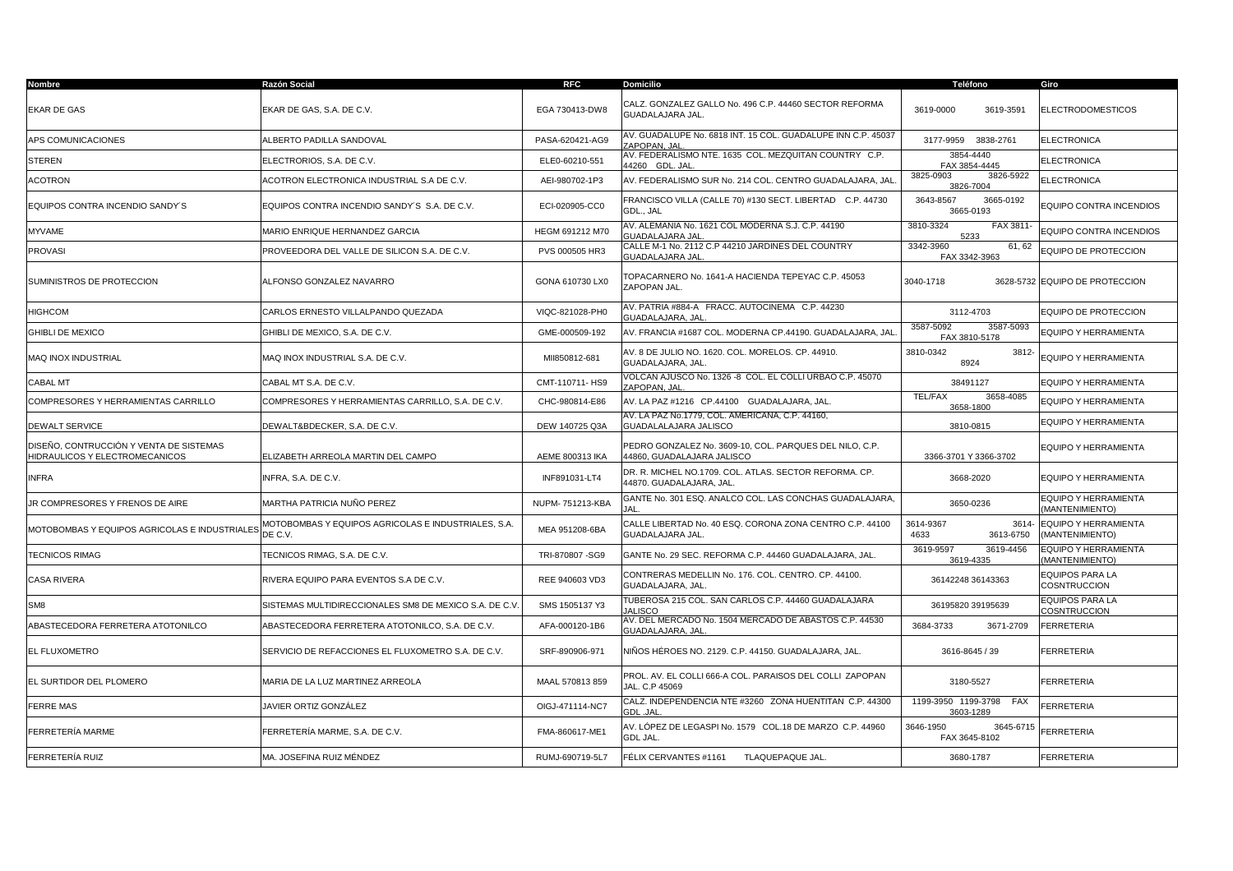| Nombre                                                                    | Razón Social                                                   | <b>RFC</b>      | <b>Domicilio</b>                                                                      | Teléfono                                       | Giro                                          |
|---------------------------------------------------------------------------|----------------------------------------------------------------|-----------------|---------------------------------------------------------------------------------------|------------------------------------------------|-----------------------------------------------|
| EKAR DE GAS                                                               | EKAR DE GAS, S.A. DE C.V.                                      | EGA 730413-DW8  | CALZ. GONZALEZ GALLO No. 496 C.P. 44460 SECTOR REFORMA<br><b>GUADALAJARA JAL.</b>     | 3619-0000<br>3619-3591                         | <b>ELECTRODOMESTICOS</b>                      |
| APS COMUNICACIONES                                                        | ALBERTO PADILLA SANDOVAL                                       | PASA-620421-AG9 | AV. GUADALUPE No. 6818 INT. 15 COL. GUADALUPE INN C.P. 45037<br>ZAPOPAN, JAL          | 3177-9959<br>3838-2761                         | <b>ELECTRONICA</b>                            |
| STEREN                                                                    | ELECTRORIOS, S.A. DE C.V.                                      | ELE0-60210-551  | AV. FEDERALISMO NTE. 1635 COL. MEZQUITAN COUNTRY C.P.<br>44260 GDL. JAL               | 3854-4440<br>FAX 3854-4445                     | <b>ELECTRONICA</b>                            |
| ACOTRON                                                                   | ACOTRON ELECTRONICA INDUSTRIAL S.A DE C.V.                     | AEI-980702-1P3  | AV. FEDERALISMO SUR No. 214 COL. CENTRO GUADALAJARA, JAL                              | 3825-0903<br>3826-5922<br>3826-7004            | <b>ELECTRONICA</b>                            |
| EQUIPOS CONTRA INCENDIO SANDY'S                                           | EQUIPOS CONTRA INCENDIO SANDY'S S.A. DE C.V.                   | ECI-020905-CC0  | FRANCISCO VILLA (CALLE 70) #130 SECT. LIBERTAD C.P. 44730<br>GDL., JAL                | 3643-8567<br>3665-0192<br>3665-0193            | EQUIPO CONTRA INCENDIOS                       |
| MYVAME                                                                    | MARIO ENRIQUE HERNANDEZ GARCIA                                 | HEGM 691212 M70 | AV. ALEMANIA No. 1621 COL MODERNA S.J. C.P. 44190<br><b>GUADALAJARA JAI</b>           | FAX 3811-<br>3810-3324<br>5233                 | EQUIPO CONTRA INCENDIOS                       |
| <b>PROVASI</b>                                                            | PROVEEDORA DEL VALLE DE SILICON S.A. DE C.V.                   | PVS 000505 HR3  | CALLE M-1 No. 2112 C.P 44210 JARDINES DEL COUNTRY<br><b>GUADALAJARA JAL</b>           | 3342-3960<br>61, 62<br>FAX 3342-3963           | EQUIPO DE PROTECCION                          |
| SUMINISTROS DE PROTECCION                                                 | ALFONSO GONZALEZ NAVARRO                                       | GONA 610730 LX0 | [OPACARNERO No. 1641-A HACIENDA TEPEYAC C.P. 45053<br>ZAPOPAN JAL.                    | 3040-1718                                      | 3628-5732 EQUIPO DE PROTECCION                |
| HIGHCOM                                                                   | CARLOS ERNESTO VILLALPANDO QUEZADA                             | VIQC-821028-PH0 | V. PATRIA #884-A FRACC. AUTOCINEMA C.P. 44230<br><b>GUADALAJARA, JAL</b>              | 3112-4703                                      | EQUIPO DE PROTECCION                          |
| <b>GHIBLI DE MEXICO</b>                                                   | GHIBLI DE MEXICO, S.A. DE C.V.                                 | GME-000509-192  | AV. FRANCIA #1687 COL. MODERNA CP.44190. GUADALAJARA, JAL                             | 3587-5092<br>3587-5093<br>FAX 3810-5178        | EQUIPO Y HERRAMIENTA                          |
| MAQ INOX INDUSTRIAL                                                       | MAQ INOX INDUSTRIAL S.A. DE C.V.                               | MII850812-681   | 4V. 8 DE JULIO NO. 1620. COL. MORELOS. CP. 44910.<br>GUADALAJARA, JAL.                | 3810-0342<br>3812-<br>8924                     | EQUIPO Y HERRAMIENTA                          |
| CABAL MT                                                                  | CABAL MT S.A. DE C.V.                                          | CMT-110711-HS9  | VOLCAN AJUSCO No. 1326 -8 COL. EL COLLI URBAO C.P. 45070<br>ZAPOPAN, JAL              | 38491127                                       | <b>EQUIPO Y HERRAMIENTA</b>                   |
| COMPRESORES Y HERRAMIENTAS CARRILLO                                       | COMPRESORES Y HERRAMIENTAS CARRILLO, S.A. DE C.V.              | CHC-980814-E86  | AV. LA PAZ #1216 CP.44100 GUADALAJARA, JAL.                                           | <b>TEL/FAX</b><br>3658-4085<br>3658-1800       | EQUIPO Y HERRAMIENTA                          |
| DEWALT SERVICE                                                            | DEWALT&BDECKER, S.A. DE C.V.                                   | DEW 140725 Q3A  | 4V. LA PAZ No.1779, COL. AMERICANA, C.P. 44160,<br>GUADALALAJARA JALISCO              | 3810-0815                                      | EQUIPO Y HERRAMIENTA                          |
| DISEÑO. CONTRUCCIÓN Y VENTA DE SISTEMAS<br>HIDRAULICOS Y ELECTROMECANICOS | ELIZABETH ARREOLA MARTIN DEL CAMPO                             | AEME 800313 IKA | PEDRO GONZALEZ No. 3609-10. COL. PARQUES DEL NILO. C.P.<br>44860, GUADALAJARA JALISCO | 3366-3701 Y 3366-3702                          | EQUIPO Y HERRAMIENTA                          |
| <b>INFRA</b>                                                              | INFRA, S.A. DE C.V.                                            | INF891031-LT4   | DR. R. MICHEL NO.1709. COL. ATLAS. SECTOR REFORMA. CP.<br>44870. GUADALAJARA. JAL.    | 3668-2020                                      | EQUIPO Y HERRAMIENTA                          |
| JR COMPRESORES Y FRENOS DE AIRE                                           | MARTHA PATRICIA NUÑO PEREZ                                     | NUPM-751213-KBA | GANTE No. 301 ESQ. ANALCO COL. LAS CONCHAS GUADALAJARA,                               | 3650-0236                                      | EQUIPO Y HERRAMIENTA<br>(MANTENIMIENTO)       |
| MOTOBOMBAS Y EQUIPOS AGRICOLAS E INDUSTRIALES                             | MOTOBOMBAS Y EQUIPOS AGRICOLAS E INDUSTRIALES, S.A.<br>DE C.V. | MEA 951208-6BA  | CALLE LIBERTAD No. 40 ESQ. CORONA ZONA CENTRO C.P. 44100<br>GUADALAJARA JAL.          | 3614-9367<br>3614-<br>4633<br>3613-6750        | EQUIPO Y HERRAMIENTA<br>(MANTENIMIENTO)       |
| <b>TECNICOS RIMAG</b>                                                     | TECNICOS RIMAG, S.A. DE C.V.                                   | TRI-870807 -SG9 | GANTE No. 29 SEC. REFORMA C.P. 44460 GUADALAJARA, JAL.                                | 3619-4456<br>3619-9597<br>3619-4335            | EQUIPO Y HERRAMIENTA<br>MANTENIMIENTO)        |
| <b>CASA RIVERA</b>                                                        | RIVERA EQUIPO PARA EVENTOS S.A DE C.V.                         | REE 940603 VD3  | CONTRERAS MEDELLIN No. 176. COL. CENTRO. CP. 44100.<br>GUADALAJARA, JAL.              | 36142248 36143363                              | <b>EQUIPOS PARA LA</b><br>COSNTRUCCION        |
| SM <sub>8</sub>                                                           | SISTEMAS MULTIDIRECCIONALES SM8 DE MEXICO S.A. DE C.V          | SMS 1505137 Y3  | TUBEROSA 215 COL. SAN CARLOS C.P. 44460 GUADALAJARA<br><b>ALISCO</b>                  | 36195820 39195639                              | <b>EQUIPOS PARA LA</b><br><b>COSNTRUCCION</b> |
| ABASTECEDORA FERRETERA ATOTONILCO                                         | ABASTECEDORA FERRETERA ATOTONILCO. S.A. DE C.V.                | AFA-000120-1B6  | AV. DEL MERCADO No. 1504 MERCADO DE ABASTOS C.P. 44530<br>GUADALAJARA, JAL            | 3684-3733<br>3671-2709                         | <b>FERRETERIA</b>                             |
| EL FLUXOMETRO                                                             | SERVICIO DE REFACCIONES EL FLUXOMETRO S.A. DE C.V.             | SRF-890906-971  | NIÑOS HÉROES NO. 2129. C.P. 44150. GUADALAJARA, JAL.                                  | 3616-8645 / 39                                 | <b>FERRETERIA</b>                             |
| EL SURTIDOR DEL PLOMERO                                                   | MARIA DE LA LUZ MARTINEZ ARREOLA                               | MAAL 570813 859 | PROL. AV. EL COLLI 666-A COL. PARAISOS DEL COLLI ZAPOPAN<br>JAL. C.P 45069            | 3180-5527                                      | <b>FERRETERIA</b>                             |
| <b>FERRE MAS</b>                                                          | JAVIER ORTIZ GONZÁLEZ                                          | OIGJ-471114-NC7 | CALZ. INDEPENDENCIA NTE #3260 ZONA HUENTITAN C.P. 44300<br><b>GDL .JAL</b>            | 1199-3950 1199-3798<br><b>FAX</b><br>3603-1289 | <b>FERRETERIA</b>                             |
| FERRETERÍA MARME                                                          | FERRETERÍA MARME, S.A. DE C.V.                                 | FMA-860617-ME1  | 4V. LÓPEZ DE LEGASPI No. 1579   COL.18 DE MARZO  C.P. 44960<br>GDL JAL.               | 3646-1950<br>3645-6715<br>FAX 3645-8102        | <b>FERRETERIA</b>                             |
| FERRETERÍA RUIZ                                                           | MA. JOSEFINA RUIZ MÉNDEZ                                       | RUMJ-690719-5L7 | FÉLIX CERVANTES #1161<br>TLAQUEPAQUE JAL.                                             | 3680-1787                                      | <b>FERRETERIA</b>                             |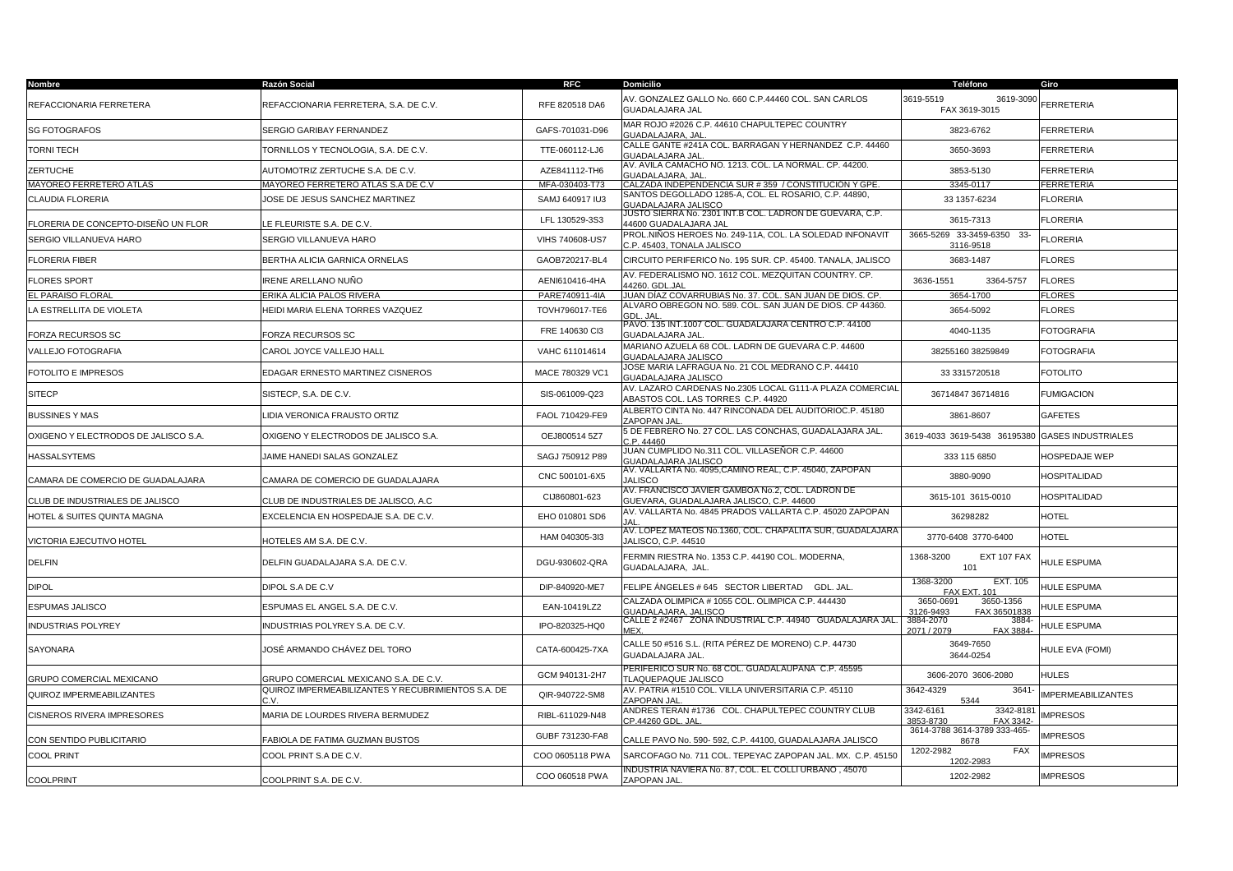| Nombre                               | Razón Social                                              | <b>RFC</b>      | <b>Domicilio</b>                                                                               | Teléfono                                            | Giro                      |
|--------------------------------------|-----------------------------------------------------------|-----------------|------------------------------------------------------------------------------------------------|-----------------------------------------------------|---------------------------|
| REFACCIONARIA FERRETERA              | REFACCIONARIA FERRETERA, S.A. DE C.V.                     | RFE 820518 DA6  | AV. GONZALEZ GALLO No. 660 C.P.44460 COL. SAN CARLOS<br><b>GUADALAJARA JAL</b>                 | 3619-5519<br>3619-3090<br>FAX 3619-3015             | <b>FERRETERIA</b>         |
| <b>SG FOTOGRAFOS</b>                 | <b>SERGIO GARIBAY FERNANDEZ</b>                           | GAFS-701031-D96 | MAR ROJO #2026 C.P. 44610 CHAPULTEPEC COUNTRY<br><b>JUADALAJARA, JAL</b>                       | 3823-6762                                           | <b>FERRETERIA</b>         |
| TORNI TECH                           | TORNILLOS Y TECNOLOGIA, S.A. DE C.V.                      | TTE-060112-LJ6  | CALLE GANTE #241A COL. BARRAGAN Y HERNANDEZ C.P. 44460<br><b>GUADALAJARA JAL</b>               | 3650-3693                                           | <b>FERRETERIA</b>         |
| <b>ZERTUCHE</b>                      | AUTOMOTRIZ ZERTUCHE S.A. DE C.V.                          | AZE841112-TH6   | AV. AVILA CAMACHO NO. 1213. COL. LA NORMAL. CP. 44200.<br>GUADALAJARA, JAL                     | 3853-5130                                           | <b>FERRETERIA</b>         |
| MAYOREO FERRETERO ATLAS              | MAYOREO FERRETERO ATLAS S.A DE C.V                        | MFA-030403-T73  | CALZADA INDEPENDENCIA SUR #359 / CONSTITUCIÓN Y GPE                                            | 3345-0117                                           | <b>FERRETERIA</b>         |
| CLAUDIA FLORERIA                     | JOSE DE JESUS SANCHEZ MARTINEZ                            | SAMJ 640917 IU3 | SANTOS DEGOLLADO 1285-A, COL. EL ROSARIO, C.P. 44890,<br>GUADALAJARA JALISCO                   | 33 1357-6234                                        | <b>FLORERIA</b>           |
| FLORERIA DE CONCEPTO-DISEÑO UN FLOR  | LE FLEURISTE S.A. DE C.V.                                 | LFL 130529-3S3  | JUSTO SIERRA No. 2301 INT.B COL. LADRON DE GUEVARA, C.P.<br>44600 GUADALAJARA JAL              | 3615-7313                                           | <b>FLORERIA</b>           |
| SERGIO VILLANUEVA HARO               | SERGIO VILLANUEVA HARO                                    | VIHS 740608-US7 | PROL.NIÑOS HEROES No. 249-11A, COL. LA SOLEDAD INFONAVIT<br>C.P. 45403. TONALA JALISCO         | 3665-5269 33-3459-6350 33-<br>3116-9518             | <b>FLORERIA</b>           |
| <b>FLORERIA FIBER</b>                | BERTHA ALICIA GARNICA ORNELAS                             | GAOB720217-BL4  | CIRCUITO PERIFERICO No. 195 SUR. CP. 45400. TANALA, JALISCO                                    | 3683-1487                                           | <b>FLORES</b>             |
| <b>FLORES SPORT</b>                  | IRENE ARELLANO NUÑO                                       | AENI610416-4HA  | AV. FEDERALISMO NO. 1612 COL. MEZQUITAN COUNTRY. CP.<br>4260. GDL.JAL                          | 3636-1551<br>3364-5757                              | <b>FLORES</b>             |
| EL PARAISO FLORAL                    | ERIKA ALICIA PALOS RIVERA                                 | PARE740911-4IA  | JUAN DÍAZ COVARRUBIAS No. 37. COL. SAN JUAN DE DIOS. CP.                                       | 3654-1700                                           | <b>FLORES</b>             |
| LA ESTRELLITA DE VIOLETA             | HEIDI MARIA ELENA TORRES VAZQUEZ                          | TOVH796017-TE6  | ALVARO OBREGON NO. 589, COL, SAN JUAN DE DIOS, CP 44360.<br>GDL.                               | 3654-5092                                           | <b>FLORES</b>             |
| FORZA RECURSOS SC                    | FORZA RECURSOS SC                                         | FRE 140630 Cl3  | PAVO. 135 INT.1007 COL. GUADALAJARA CENTRO C.P. 44100<br>GUADALAJARA JAL                       | 4040-1135                                           | <b>FOTOGRAFIA</b>         |
| VALLEJO FOTOGRAFIA                   | CAROL JOYCE VALLEJO HALL                                  | VAHC 611014614  | MARIANO AZUELA 68 COL. LADRN DE GUEVARA C.P. 44600<br><b>GUADALAJARA JALISCO</b>               | 38255160 38259849                                   | <b>FOTOGRAFIA</b>         |
| FOTOLITO E IMPRESOS                  | EDAGAR ERNESTO MARTINEZ CISNEROS                          | MACE 780329 VC1 | JOSE MARIA LAFRAGUA No. 21 COL MEDRANO C.P. 44410<br><b>GUADALAJARA JALISCO</b>                | 33 3315720518                                       | <b>FOTOLITO</b>           |
| <b>SITECP</b>                        | SISTECP, S.A. DE C.V.                                     | SIS-061009-Q23  | AV. LAZARO CARDENAS No.2305 LOCAL G111-A PLAZA COMERCIAL<br>ABASTOS COL. LAS TORRES C.P. 44920 | 36714847 36714816                                   | <b>FUMIGACION</b>         |
| <b>BUSSINES Y MAS</b>                | LIDIA VERONICA FRAUSTO ORTIZ                              | FAOL 710429-FE9 | ALBERTO CINTA No. 447 RINCONADA DEL AUDITORIOC.P. 45180<br>ZAPOPAN JAL                         | 3861-8607                                           | <b>GAFETES</b>            |
| OXIGENO Y ELECTRODOS DE JALISCO S.A. | OXIGENO Y ELECTRODOS DE JALISCO S.A.                      | OEJ800514 5Z7   | 5 DE FEBRERO No. 27 COL. LAS CONCHAS, GUADALAJARA JAL.<br>C P 44460                            | 3619-4033 3619-5438 36195380 GASES INDUSTRIALES     |                           |
| HASSALSYTEMS                         | JAIME HANEDI SALAS GONZALEZ                               | SAGJ 750912 P89 | JUAN CUMPLIDO No.311 COL. VILLASEÑOR C.P. 44600<br><b>GUADALAJARA JALISCO</b>                  | 333 115 6850                                        | HOSPEDAJE WEP             |
| CAMARA DE COMERCIO DE GUADALAJARA    | CAMARA DE COMERCIO DE GUADALAJARA                         | CNC 500101-6X5  | AV. VALLARTA No. 4095, CAMINO REAL, C.P. 45040, ZAPOPAN<br><b>JALISCO</b>                      | 3880-9090                                           | <b>HOSPITALIDAD</b>       |
| CLUB DE INDUSTRIALES DE JALISCO      | CLUB DE INDUSTRIALES DE JALISCO, A.C                      | CIJ860801-623   | AV. FRANCISCO JAVIER GAMBOA No.2, COL. LADRON DE<br>GUEVARA, GUADALAJARA JALISCO, C.P. 44600   | 3615-101 3615-0010                                  | HOSPITALIDAD              |
| HOTEL & SUITES QUINTA MAGNA          | EXCELENCIA EN HOSPEDAJE S.A. DE C.V.                      | EHO 010801 SD6  | AV. VALLARTA No. 4845 PRADOS VALLARTA C.P. 45020 ZAPOPAN                                       | 36298282                                            | <b>HOTEL</b>              |
| VICTORIA EJECUTIVO HOTEL             | HOTELES AM S.A. DE C.V.                                   | HAM 040305-3I3  | AV. LOPEZ MATEOS No.1360, COL. CHAPALITA SUR, GUADALAJARA<br>JALISCO, C.P. 44510               | 3770-6408 3770-6400                                 | <b>HOTEL</b>              |
| <b>DELFIN</b>                        | DELFIN GUADALAJARA S.A. DE C.V.                           | DGU-930602-QRA  | FERMIN RIESTRA No. 1353 C.P. 44190 COL. MODERNA,<br>GUADALAJARA, JAL.                          | 1368-3200<br>EXT 107 FAX<br>101                     | HULE ESPUMA               |
| DIPOL                                | DIPOL S.A DE C.V                                          | DIP-840920-ME7  | FELIPE ÁNGELES # 645   SECTOR LIBERTAD     GDL. JAL.                                           | 1368-3200<br><b>EXT. 105</b><br><b>FAX EXT, 101</b> | HULE ESPUMA               |
| ESPUMAS JALISCO                      | ESPUMAS EL ANGEL S.A. DE C.V.                             | EAN-10419LZ2    | CALZADA OLIMPICA # 1055 COL. OLIMPICA C.P. 444430<br>GUADALAJARA, JALISCO                      | 3650-0691<br>3650-1356<br>3126-9493<br>FAX 36501838 | HULE ESPUMA               |
| <b>INDUSTRIAS POLYREY</b>            | INDUSTRIAS POLYREY S.A. DE C.V.                           | IPO-820325-HQ0  | CALLE 2 #2467   ZONA INDUSTRIAL C.P. 44940   GUADALAJARA JAL.                                  | 3884-2070<br>3884<br>FAX 3884-<br>2071 / 2079       | HULE ESPUMA               |
| SAYONARA                             | JOSÉ ARMANDO CHÁVEZ DEL TORO                              | CATA-600425-7XA | CALLE 50 #516 S.L. (RITA PÉREZ DE MORENO) C.P. 44730<br>GUADALAJARA JAL.                       | 3649-7650<br>3644-0254                              | HULE EVA (FOMI)           |
| <b>GRUPO COMERCIAL MEXICANO</b>      | GRUPO COMERCIAL MEXICANO S.A. DE C.V.                     | GCM 940131-2H7  | PERIFERICO SUR No. 68 COL. GUADALAUPANA C.P. 45595<br><b>TLAQUEPAQUE JALISCO</b>               | 3606-2070 3606-2080                                 | <b>HULES</b>              |
| QUIROZ IMPERMEABILIZANTES            | QUIROZ IMPERMEABILIZANTES Y RECUBRIMIENTOS S.A. DE<br>r v | QIR-940722-SM8  | AV. PATRIA #1510 COL. VILLA UNIVERSITARIA C.P. 45110<br><b>ZAPOPAN JAI</b>                     | 3642-4329<br>3641<br>5344                           | <b>IMPERMEABILIZANTES</b> |
| <b>CISNEROS RIVERA IMPRESORES</b>    | MARIA DE LOURDES RIVERA BERMUDEZ                          | RIBL-611029-N48 | ANDRES TERAN #1736 COL. CHAPULTEPEC COUNTRY CLUB<br>CP.44260 GDL. JAL                          | 3342-6161<br>3342-8181<br>FAX 3342-<br>3853-8730    | <b>IMPRESOS</b>           |
| CON SENTIDO PUBLICITARIO             | FABIOLA DE FATIMA GUZMAN BUSTOS                           | GUBF 731230-FA8 | CALLE PAVO No. 590- 592, C.P. 44100, GUADALAJARA JALISCO                                       | 3614-3788 3614-3789 333-465-<br>8678                | <b>IMPRESOS</b>           |
| COOL PRINT                           | COOL PRINT S.A DE C.V.                                    | COO 0605118 PWA | SARCOFAGO No. 711 COL. TEPEYAC ZAPOPAN JAL. MX. C.P. 45150                                     | 1202-2982<br>FAX<br>1202-2983                       | <b>IMPRESOS</b>           |
| <b>COOLPRINT</b>                     | COOLPRINT S.A. DE C.V.                                    | COO 060518 PWA  | INDUSTRIA NAVIERA No. 87. COL. EL COLLI URBANO . 45070<br>ZAPOPAN JAL                          | 1202-2982                                           | <b>IMPRESOS</b>           |
|                                      |                                                           |                 |                                                                                                |                                                     |                           |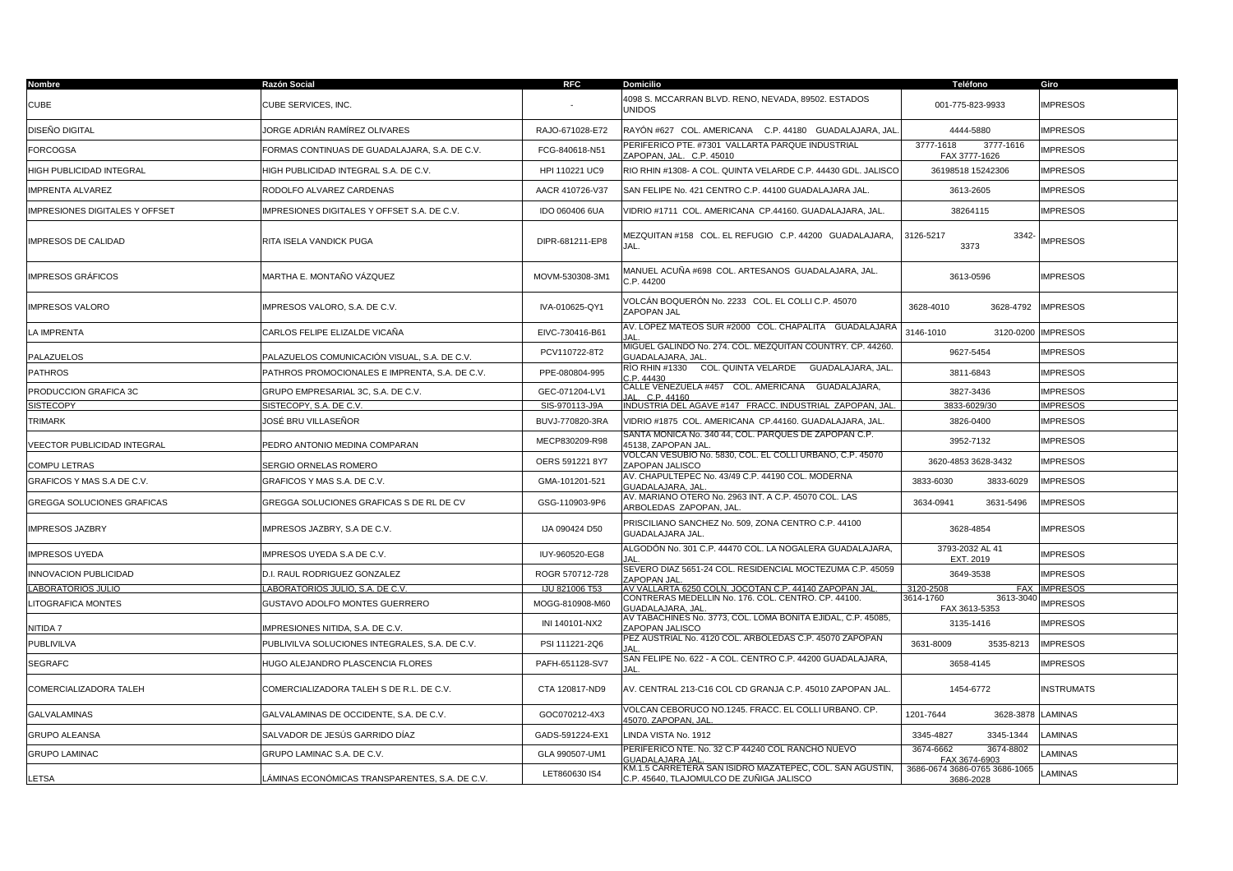| Nombre                          | Razón Social                                   | <b>RFC</b>            | <b>Domicilio</b>                                                                                    | Teléfono                                   | Giro                |
|---------------------------------|------------------------------------------------|-----------------------|-----------------------------------------------------------------------------------------------------|--------------------------------------------|---------------------|
| <b>CUBE</b>                     | CUBE SERVICES, INC.                            |                       | 4098 S. MCCARRAN BLVD. RENO, NEVADA, 89502. ESTADOS<br><b>UNIDOS</b>                                | 001-775-823-9933                           | <b>IMPRESOS</b>     |
| DISEÑO DIGITAL                  | JORGE ADRIÁN RAMÍREZ OLIVARES                  | RAJO-671028-E72       | RAYÓN #627 COL. AMERICANA C.P. 44180 GUADALAJARA, JAL                                               | 4444-5880                                  | <b>IMPRESOS</b>     |
| <b>FORCOGSA</b>                 | FORMAS CONTINUAS DE GUADALAJARA, S.A. DE C.V.  | FCG-840618-N51        | PERIFERICO PTE. #7301 VALLARTA PARQUE INDUSTRIAL<br>ZAPOPAN, JAL. C.P. 45010                        | 3777-1618<br>3777-1616<br>FAX 3777-1626    | <b>IMPRESOS</b>     |
| <b>HIGH PUBLICIDAD INTEGRAL</b> | HIGH PUBLICIDAD INTEGRAL S.A. DE C.V.          | HPI 110221 UC9        | RIO RHIN #1308- A COL. QUINTA VELARDE C.P. 44430 GDL. JALISCO                                       | 36198518 15242306                          | <b>IMPRESOS</b>     |
| MPRENTA ALVAREZ                 | RODOLFO ALVAREZ CARDENAS                       | AACR 410726-V37       | SAN FELIPE No. 421 CENTRO C.P. 44100 GUADALAJARA JAL.                                               | 3613-2605                                  | <b>IMPRESOS</b>     |
| MPRESIONES DIGITALES Y OFFSET   | MPRESIONES DIGITALES Y OFFSET S.A. DE C.V.     | IDO 060406 6UA        | VIDRIO #1711 COL. AMERICANA CP.44160. GUADALAJARA, JAL.                                             | 38264115                                   | <b>IMPRESOS</b>     |
| IMPRESOS DE CALIDAD             | RITA ISELA VANDICK PUGA                        | DIPR-681211-EP8       | MEZQUITAN #158 COL. EL REFUGIO C.P. 44200 GUADALAJARA,<br>JAL.                                      | 3126-5217<br>3342-<br>3373                 | <b>IMPRESOS</b>     |
| <b>MPRESOS GRÁFICOS</b>         | MARTHA E. MONTAÑO VÁZQUEZ                      | MOVM-530308-3M1       | MANUEL ACUÑA #698 COL. ARTESANOS GUADALAJARA, JAL.<br>C.P.44200                                     | 3613-0596                                  | <b>IMPRESOS</b>     |
| MPRESOS VALORO                  | MPRESOS VALORO, S.A. DE C.V.                   | IVA-010625-QY1        | VOLCÁN BOQUERÓN No. 2233   COL. EL COLLI C.P. 45070<br>ZAPOPAN JAL                                  | 3628-4010<br>3628-4792                     | <b>IMPRESOS</b>     |
| LA IMPRENTA                     | CARLOS FELIPE ELIZALDE VICAÑA                  | EIVC-730416-B61       | AV. LÓPEZ MATEOS SUR #2000 COL. CHAPALITA GUADALAJARA<br>ΙΔΙ                                        | 3146-1010<br>3120-0200                     | <b>IMPRESOS</b>     |
| PALAZUELOS                      | PALAZUELOS COMUNICACIÓN VISUAL, S.A. DE C.V.   | PCV110722-8T2         | MIGUEL GALINDO No. 274. COL. MEZQUITAN COUNTRY. CP. 44260.<br>GUADALAJARA, JAL                      | 9627-5454                                  | <b>IMPRESOS</b>     |
| PATHROS                         | PATHROS PROMOCIONALES E IMPRENTA, S.A. DE C.V. | PPE-080804-995        | RÍO RHIN #1330      COL. QUINTA VELARDE      GUADALAJARA, JAL.<br>2.P.44430                         | 3811-6843                                  | <b>IMPRESOS</b>     |
| PRODUCCION GRAFICA 3C           | GRUPO EMPRESARIAL 3C, S.A. DE C.V.             | GEC-071204-LV1        | CALLE VENEZUELA #457 COL. AMERICANA GUADALAJARA,<br>IAL. C.P. 44160                                 | 3827-3436                                  | <b>IMPRESOS</b>     |
| <b>SISTECOPY</b>                | SISTECOPY, S.A. DE C.V.                        | SIS-970113-J9A        | INDUSTRIA DEL AGAVE #147 FRACC. INDUSTRIAL ZAPOPAN, JAL.                                            | 3833-6029/30                               | <b>IMPRESOS</b>     |
| <b>TRIMARK</b>                  | JOSÉ BRU VILLASEÑOR                            | BUVJ-770820-3RA       | VIDRIO #1875 COL. AMERICANA CP.44160. GUADALAJARA, JAL.                                             | 3826-0400                                  | <b>IMPRESOS</b>     |
| VEECTOR PUBLICIDAD INTEGRAL     | PEDRO ANTONIO MEDINA COMPARAN                  | MECP830209-R98        | SANTA MONICA No. 340 44, COL. PARQUES DE ZAPOPAN C.P.<br>15138. ZAPOPAN JAL                         | 3952-7132                                  | <b>IMPRESOS</b>     |
| COMPU LETRAS                    | SERGIO ORNELAS ROMERO                          | OERS 591221 8Y7       | VOLCAN VESUBIO No. 5830, COL. EL COLLI URBANO, C.P. 45070<br>ZAPOPAN JALISCO                        | 3620-4853 3628-3432                        | <b>IMPRESOS</b>     |
| GRAFICOS Y MAS S.A DE C.V.      | GRAFICOS Y MAS S.A. DE C.V.                    | GMA-101201-521        | AV. CHAPULTEPEC No. 43/49 C.P. 44190 COL. MODERNA<br>GUADALAJARA, JAL                               | 3833-6030<br>3833-6029                     | <b>IMPRESOS</b>     |
| GREGGA SOLUCIONES GRAFICAS      | GREGGA SOLUCIONES GRAFICAS S DE RL DE CV       | GSG-110903-9P6        | AV. MARIANO OTERO No. 2963 INT. A C.P. 45070 COL. LAS<br>ARBOLEDAS ZAPOPAN, JAL.                    | 3634-0941<br>3631-5496                     | <b>IMPRESOS</b>     |
| <b>IMPRESOS JAZBRY</b>          | MPRESOS JAZBRY, S.A DE C.V.                    | IJA 090424 D50        | PRISCILIANO SANCHEZ No. 509, ZONA CENTRO C.P. 44100<br>GUADALAJARA JAL                              | 3628-4854                                  | <b>IMPRESOS</b>     |
| <b>MPRESOS UYEDA</b>            | MPRESOS UYEDA S.A DE C.V.                      | IUY-960520-EG8        | ALGODÓN No. 301 C.P. 44470 COL. LA NOGALERA GUADALAJARA,                                            | 3793-2032 AL 41<br>EXT. 2019               | <b>IMPRESOS</b>     |
| <b>INNOVACION PUBLICIDAD</b>    | D.I. RAUL RODRIGUEZ GONZALEZ                   | ROGR 570712-728       | SEVERO DIAZ 5651-24 COL. RESIDENCIAL MOCTEZUMA C.P. 45059<br>ZAPOPAN JAL                            | 3649-3538                                  | <b>IMPRESOS</b>     |
| <b>ABORATORIOS JULIO</b>        | LABORATORIOS JULIO, S.A. DE C.V.               | <b>IJU 821006 T53</b> | AV VALLARTA 6250 COLÑ. JOCOTAN C.P. 44140 ZAPOPAN JAL                                               | 3120-2508                                  | <b>FAX IMPRESOS</b> |
| <b>LITOGRAFICA MONTES</b>       | GUSTAVO ADOLFO MONTES GUERRERO                 | MOGG-810908-M60       | CONTRERAS MEDELLIN No. 176. COL. CENTRO. CP. 44100.<br><b>GUADALAJARA, JAL</b>                      | 3614-1760<br>3613-3040<br>FAX 3613-5353    | <b>IMPRESOS</b>     |
| NITIDA 7                        | MPRESIONES NITIDA, S.A. DE C.V.                | INI 140101-NX2        | AV TABACHINES No. 3773, COL. LOMA BONITA EJIDAL, C.P. 45085,<br>ZAPOPAN JALISCO                     | 3135-1416                                  | <b>IMPRESOS</b>     |
| PUBLIVILVA                      | PUBLIVILVA SOLUCIONES INTEGRALES, S.A. DE C.V. | PSI 111221-2Q6        | PEZ AUSTRIAL No. 4120 COL. ARBOLEDAS C.P. 45070 ZAPOPAN                                             | 3535-8213<br>3631-8009                     | <b>IMPRESOS</b>     |
| SEGRAFC                         | HUGO ALEJANDRO PLASCENCIA FLORES               | PAFH-651128-SV7       | SAN FELIPE No. 622 - A COL. CENTRO C.P. 44200 GUADALAJARA,                                          | 3658-4145                                  | <b>IMPRESOS</b>     |
| COMERCIALIZADORA TALEH          | COMERCIALIZADORA TALEH S DE R.L. DE C.V.       | CTA 120817-ND9        | AV. CENTRAL 213-C16 COL CD GRANJA C.P. 45010 ZAPOPAN JAL.                                           | 1454-6772                                  | <b>INSTRUMATS</b>   |
| GALVALAMINAS                    | GALVALAMINAS DE OCCIDENTE, S.A. DE C.V.        | GOC070212-4X3         | VOLCAN CEBORUCO NO.1245. FRACC. EL COLLI URBANO. CP.<br><b>15070. ZAPOPAN, JAL</b>                  | 1201-7644<br>3628-3878 LAMINAS             |                     |
| <b>GRUPO ALEANSA</b>            | SALVADOR DE JESÚS GARRIDO DÍAZ                 | GADS-591224-EX1       | LINDA VISTA No. 1912                                                                                | 3345-4827<br>3345-1344                     | LAMINAS             |
| <b>GRUPO LAMINAC</b>            | GRUPO LAMINAC S.A. DE C.V.                     | GLA 990507-UM1        | PERIFERICO NTE. No. 32 C.P 44240 COL RANCHO NUEVO<br>IUADALAJARA JA                                 | 3674-6662<br>3674-8802<br>FAX 3674-6903    | LAMINAS             |
| LETSA                           | ÁMINAS ECONÓMICAS TRANSPARENTES, S.A. DE C.V.  | LET860630 IS4         | KM.1.5 CARRETÉRA SAN ISIDRO MAZATEPEC, COL. SAN AGUSTIN<br>C.P. 45640, TLAJOMULCO DE ZUÑIGA JALISCO | 3686-0674 3686-0765 3686-1065<br>3686-2028 | <b>LAMINAS</b>      |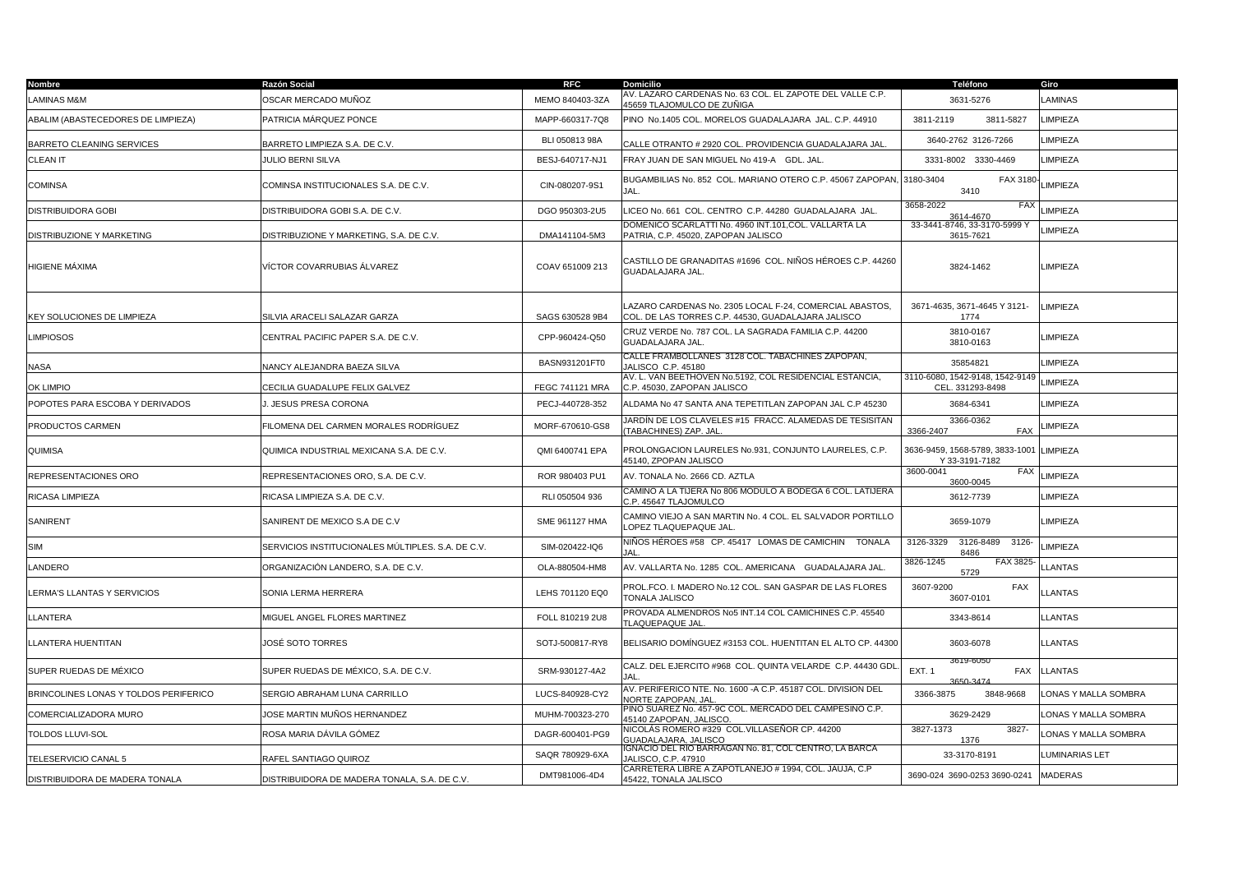| Nombre                                | <b>Razón Social</b>                               | <b>RFC</b>             | <b>Domicilio</b>                                                                                              | Teléfono                                            | Giro                  |
|---------------------------------------|---------------------------------------------------|------------------------|---------------------------------------------------------------------------------------------------------------|-----------------------------------------------------|-----------------------|
| <b>LAMINAS M&amp;M</b>                | OSCAR MERCADO MUÑOZ                               | MEMO 840403-3ZA        | AV. LAZARO CARDENAS No. 63 COL. EL ZAPOTE DEL VALLE C.P.<br>45659 TLAJOMULCO DE ZUÑIGA                        | 3631-5276                                           | <b>LAMINAS</b>        |
| ABALIM (ABASTECEDORES DE LIMPIEZA)    | PATRICIA MÁRQUEZ PONCE                            | MAPP-660317-7Q8        | PINO No.1405 COL. MORELOS GUADALAJARA JAL. C.P. 44910                                                         | 3811-2119<br>3811-5827                              | LIMPIEZA              |
| BARRETO CLEANING SERVICES             | BARRETO LIMPIEZA S.A. DE C.V.                     | BLI 050813 98A         | CALLE OTRANTO # 2920 COL. PROVIDENCIA GUADALAJARA JAL                                                         | 3640-2762 3126-7266                                 | LIMPIEZA              |
| <b>CLEAN IT</b>                       | <b>JULIO BERNI SILVA</b>                          | BESJ-640717-NJ1        | FRAY JUAN DE SAN MIGUEL No 419-A GDL, JAL.                                                                    | 3331-8002 3330-4469                                 | LIMPIEZA              |
| <b>COMINSA</b>                        | COMINSA INSTITUCIONALES S.A. DE C.V.              | CIN-080207-9S1         | BUGAMBILIAS No. 852 COL. MARIANO OTERO C.P. 45067 ZAPOPAN, 3180-3404<br>IAI                                   | FAX 3180-<br>3410                                   | LIMPIEZA              |
| <b>DISTRIBUIDORA GOBI</b>             | DISTRIBUIDORA GOBI S.A. DE C.V.                   | DGO 950303-2U5         | LICEO No. 661 COL. CENTRO C.P. 44280 GUADALAJARA JAL.                                                         | 3658-2022<br>FAX<br>3614-4670                       | LIMPIEZA              |
| DISTRIBUZIONE Y MARKETING             | DISTRIBUZIONE Y MARKETING, S.A. DE C.V.           | DMA141104-5M3          | DOMENICO SCARLATTI No. 4960 INT.101,COL. VALLARTA LA<br>PATRIA, C.P. 45020, ZAPOPAN JALISCO                   | 33-3441-8746, 33-3170-5999 Y<br>3615-7621           | LIMPIEZA              |
| HIGIENE MÁXIMA                        | VÍCTOR COVARRUBIAS ÁLVAREZ                        | COAV 651009 213        | CASTILLO DE GRANADITAS #1696  COL. NIÑOS HÉROES C.P. 44260<br>GUADALAJARA JAL.                                | 3824-1462                                           | LIMPIEZA              |
| <b>KEY SOLUCIONES DE LIMPIEZA</b>     | SILVIA ARACELI SALAZAR GARZA                      | SAGS 630528 9B4        | LAZARO CARDENAS No. 2305 LOCAL F-24, COMERCIAL ABASTOS,<br>COL. DE LAS TORRES C.P. 44530, GUADALAJARA JALISCO | 3671-4635, 3671-4645 Y 3121-<br>1774                | <b>LIMPIEZA</b>       |
| <b>LIMPIOSOS</b>                      | CENTRAL PACIFIC PAPER S.A. DE C.V.                | CPP-960424-Q50         | CRUZ VERDE No. 787 COL. LA SAGRADA FAMILIA C.P. 44200<br>GUADALAJARA JAL.                                     | 3810-0167<br>3810-0163                              | LIMPIEZA              |
| NASA                                  | VANCY ALEJANDRA BAEZA SILVA                       | BASN931201FT0          | CALLE FRAMBOLLANES 3128 COL. TABACHINES ZAPOPAN,<br>JALISCO C.P. 45180                                        | 35854821                                            | LIMPIEZA              |
| OK LIMPIO                             | CECILIA GUADALUPE FELIX GALVEZ                    | <b>FEGC 741121 MRA</b> | AV. L. VAN BEETHOVEN No.5192, COL RESIDENCIAL ESTANCIA,<br>C.P. 45030. ZAPOPAN JALISCO                        | 3110-6080, 1542-9148, 1542-9149<br>CEL. 331293-8498 | LIMPIEZA              |
| POPOTES PARA ESCOBA Y DERIVADOS       | . JESUS PRESA CORONA                              | PECJ-440728-352        | ALDAMA No 47 SANTA ANA TEPETITLAN ZAPOPAN JAL C.P 45230                                                       | 3684-6341                                           | LIMPIEZA              |
| PRODUCTOS CARMEN                      | FILOMENA DEL CARMEN MORALES RODRÍGUEZ             | MORF-670610-GS8        | JARDÍN DE LOS CLAVELES #15 FRACC. ALAMEDAS DE TESISITAN<br>TABACHINES) ZAP. JAL                               | 3366-0362<br><b>FAX</b><br>3366-2407                | LIMPIEZA              |
| QUIMISA                               | QUIMICA INDUSTRIAL MEXICANA S.A. DE C.V.          | QMI 6400741 EPA        | PROLONGACION LAURELES No.931, CONJUNTO LAURELES, C.P.<br>45140, ZPOPAN JALISCO                                | 3636-9459, 1568-5789, 3833-1001<br>Y 33-3191-7182   | <b>LIMPIEZA</b>       |
| REPRESENTACIONES ORO                  | REPRESENTACIONES ORO, S.A. DE C.V.                | ROR 980403 PU1         | AV. TONALA No. 2666 CD. AZTLA                                                                                 | 3600-0041<br><b>FAX</b><br>3600-0045                | LIMPIEZA              |
| RICASA LIMPIEZA                       | RICASA LIMPIEZA S.A. DE C.V.                      | RLI 050504 936         | CAMINO A LA TIJERA No 806 MODULO A BODEGA 6 COL. LATIJERA<br>C.P. 45647 TLAJOMULCO                            | 3612-7739                                           | LIMPIEZA              |
| SANIRENT                              | SANIRENT DE MEXICO S.A DE C.V                     | SME 961127 HMA         | CAMINO VIEJO A SAN MARTIN No. 4 COL. EL SALVADOR PORTILLO<br>LOPEZ TLAQUEPAQUE JAL                            | 3659-1079                                           | LIMPIEZA              |
| <b>SIM</b>                            | SERVICIOS INSTITUCIONALES MÚLTIPLES. S.A. DE C.V. | SIM-020422-IQ6         | NIÑOS HÉROES #58   CP. 45417   LOMAS DE CAMICHIN     TONALA                                                   | 3126-8489<br>$3126 -$<br>3126-3329<br>8486          | <b>LIMPIEZA</b>       |
| LANDERO                               | ORGANIZACIÓN LANDERO, S.A. DE C.V.                | OLA-880504-HM8         | AV. VALLARTA No. 1285 COL. AMERICANA GUADALAJARA JAL                                                          | 3826-1245<br><b>FAX 3825</b><br>5729                | <b>LLANTAS</b>        |
| LERMA'S LLANTAS Y SERVICIOS           | SONIA LERMA HERRERA                               | LEHS 701120 EQ0        | PROL.FCO. I. MADERO No.12 COL. SAN GASPAR DE LAS FLORES<br>TONALA JALISCO                                     | 3607-9200<br>FAX<br>3607-0101                       | <b>LLANTAS</b>        |
| LLANTERA                              | MIGUEL ANGEL FLORES MARTINEZ                      | FOLL 810219 2U8        | PROVADA ALMENDROS No5 INT.14 COL CAMICHINES C.P. 45540<br><b>TLAQUEPAQUE JAL</b>                              | 3343-8614                                           | <b>LLANTAS</b>        |
| LLANTERA HUENTITAN                    | JOSÉ SOTO TORRES                                  | SOTJ-500817-RY8        | BELISARIO DOMÍNGUEZ #3153 COL. HUENTITAN EL ALTO CP. 44300                                                    | 3603-6078                                           | <b>LLANTAS</b>        |
| SUPER RUEDAS DE MÉXICO                | SUPER RUEDAS DE MÉXICO, S.A. DE C.V.              | SRM-930127-4A2         | CALZ. DEL EJERCITO #968 COL. QUINTA VELARDE C.P. 44430 GDI<br>JAL.                                            | 3619-6050<br><b>EXT. 1</b><br><b>FAX</b>            | <b>LLANTAS</b>        |
| BRINCOLINES LONAS Y TOLDOS PERIFERICO | SERGIO ABRAHAM LUNA CARRILLO                      | LUCS-840928-CY2        | AV. PERIFERICO NTE. No. 1600 -A C.P. 45187 COL. DIVISION DEL<br><b>VORTE ZAPOPAN, JAL</b>                     | 3366-3875<br>3848-9668                              | LONAS Y MALLA SOMBRA  |
| COMERCIALIZADORA MURO                 | JOSE MARTIN MUÑOS HERNANDEZ                       | MUHM-700323-270        | PINO SUAREZ No. 457-9C COL. MERCADO DEL CAMPESINO C.P.<br>45140 ZAPOPAN, JALISCO.                             | 3629-2429                                           | LONAS Y MALLA SOMBRA  |
| <b>TOLDOS LLUVI-SOL</b>               | ROSA MARIA DÀVILA GÒMEZ                           | DAGR-600401-PG9        | NICOLÁS ROMERO #329  COL.VILLASEÑOR CP. 44200<br>GUADALAJARA, JALISCO                                         | 3827-1373<br>3827-<br>1376                          | LONAS Y MALLA SOMBRA  |
| TELESERVICIO CANAL 5                  | RAFEL SANTIAGO QUIROZ                             | SAQR 780929-6XA        | GNACIO DEL RIO BARRAGAN No. 81, COL CENTRO, LA BARCA<br>JALISCO, C.P. 47910                                   | 33-3170-8191                                        | <b>LUMINARIAS LET</b> |
| DISTRIBUIDORA DE MADERA TONALA        | DISTRIBUIDORA DE MADERA TONALA, S.A. DE C.V.      | DMT981006-4D4          | CARRETERA LIBRE A ZAPOTLANEJO # 1994, COL. JAUJA, C.P<br>45422, TONALA JALISCO                                | 3690-024 3690-0253 3690-0241                        | <b>MADERAS</b>        |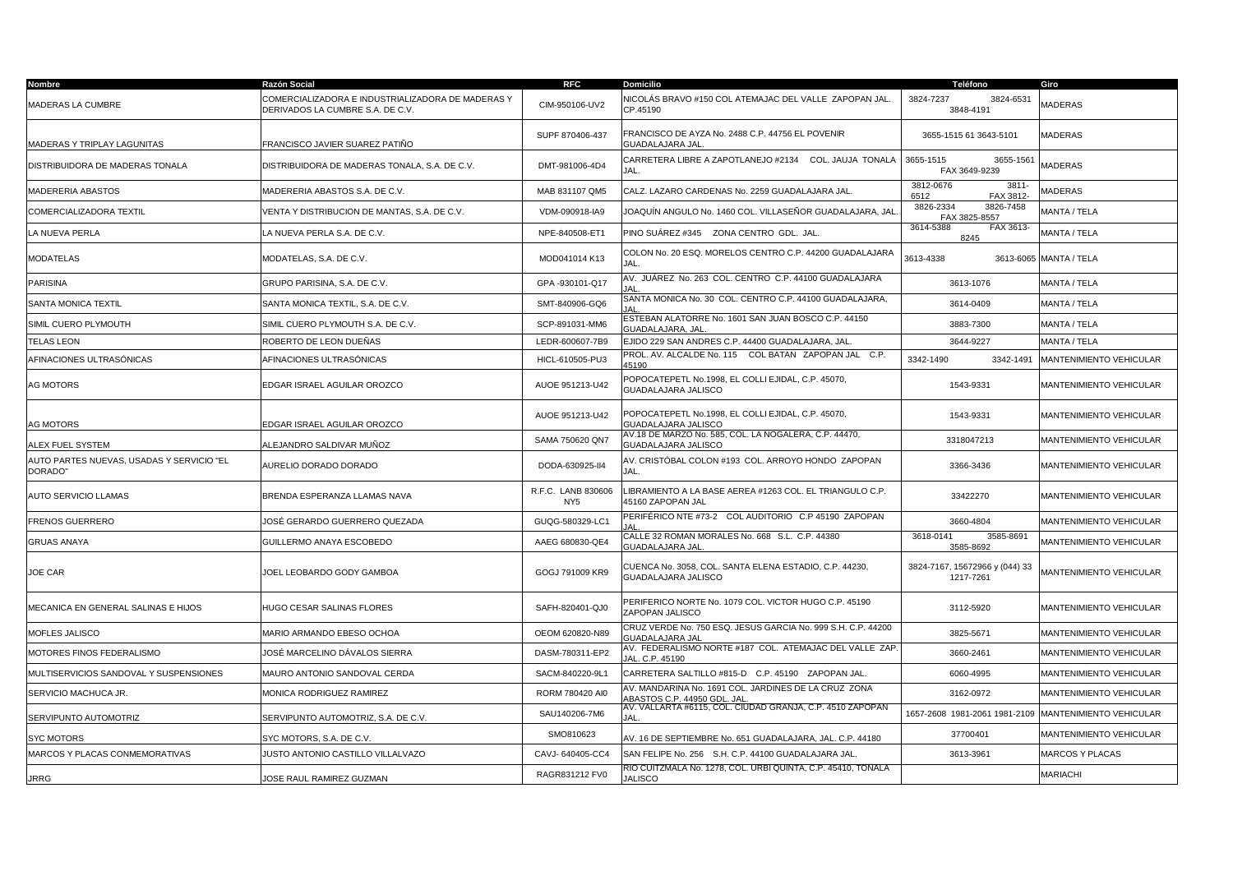| Nombre                                               | <b>Razón Social</b>                                                                   | <b>RFC</b>                            | <b>Domicilio</b>                                                                    | Teléfono                                              | Giro                    |
|------------------------------------------------------|---------------------------------------------------------------------------------------|---------------------------------------|-------------------------------------------------------------------------------------|-------------------------------------------------------|-------------------------|
| <b>MADERAS LA CUMBRE</b>                             | COMERCIALIZADORA E INDUSTRIALIZADORA DE MADERAS Y<br>DERIVADOS LA CUMBRE S.A. DE C.V. | CIM-950106-UV2                        | NICOLÁS BRAVO #150 COL ATEMAJAC DEL VALLE ZAPOPAN JAL.<br>CP.45190                  | 3824-7237<br>3824-6531<br>3848-4191                   | MADERAS                 |
| MADERAS Y TRIPLAY LAGUNITAS                          | FRANCISCO JAVIER SUAREZ PATIÑO                                                        | SUPF 870406-437                       | FRANCISCO DE AYZA No. 2488 C.P. 44756 EL POVENIR<br>GUADALAJARA JAL.                | 3655-1515 61 3643-5101                                | <b>MADERAS</b>          |
| DISTRIBUIDORA DE MADERAS TONALA                      | DISTRIBUIDORA DE MADERAS TONALA, S.A. DE C.V.                                         | DMT-981006-4D4                        | CARRETERA LIBRE A ZAPOTLANEJO #2134    COL. JAUJA TONALA<br>JAL.                    | 3655-1515<br>3655-1561<br>FAX 3649-9239               | <b>MADERAS</b>          |
| MADERERIA ABASTOS                                    | MADERERIA ABASTOS S.A. DE C.V.                                                        | MAB 831107 QM5                        | CALZ. LAZARO CARDENAS No. 2259 GUADALAJARA JAL.                                     | 3812-0676<br>3811<br>6512<br>FAX 3812-                | MADERAS                 |
| COMERCIALIZADORA TEXTIL                              | /ENTA Y DISTRIBUCION DE MANTAS, S.A. DE C.V.                                          | VDM-090918-IA9                        | JOAQUÍN ANGULO No. 1460 COL. VILLASEÑOR GUADALAJARA, JAL                            | 3826-7458<br>3826-2334<br>FAX 3825-8557               | MANTA / TELA            |
| LA NUEVA PERLA                                       | A NUEVA PERLA S.A. DE C.V.                                                            | NPE-840508-ET1                        | PINO SUÁREZ #345 ZONA CENTRO GDL. JAL.                                              | 3614-5388<br>FAX 3613-<br>8245                        | MANTA / TELA            |
| MODATELAS                                            | MODATELAS, S.A. DE C.V.                                                               | MOD041014 K13                         | COLON No. 20 ESQ. MORELOS CENTRO C.P. 44200 GUADALAJARA<br>JAL                      | 3613-4338                                             | 3613-6065 MANTA / TELA  |
| <b>PARISINA</b>                                      | GRUPO PARISINA, S.A. DE C.V.                                                          | GPA -930101-Q17                       | AV. JUÁREZ No. 263 COL. CENTRO C.P. 44100 GUADALAJARA                               | 3613-1076                                             | MANTA / TELA            |
| SANTA MONICA TEXTIL                                  | SANTA MONICA TEXTIL, S.A. DE C.V.                                                     | SMT-840906-GQ6                        | SANTA MONICA No. 30 COL. CENTRO C.P. 44100 GUADALAJARA,                             | 3614-0409                                             | MANTA / TELA            |
| SIMIL CUERO PLYMOUTH                                 | SIMIL CUERO PLYMOUTH S.A. DE C.V.                                                     | SCP-891031-MM6                        | ESTEBAN ALATORRE No. 1601 SAN JUAN BOSCO C.P. 44150<br>GUADALAJARA, JAL             | 3883-7300                                             | MANTA / TELA            |
| <b>TELAS LEON</b>                                    | ROBERTO DE LEON DUEÑAS                                                                | LEDR-600607-7B9                       | EJIDO 229 SAN ANDRES C.P. 44400 GUADALAJARA, JAL.                                   | 3644-9227                                             | MANTA / TELA            |
| AFINACIONES ULTRASÓNICAS                             | AFINACIONES ULTRASÓNICAS                                                              | HICL-610505-PU3                       | PROL. AV. ALCALDE No. 115  COL BATAN ZAPOPAN JAL C.P.<br>45190                      | 3342-1490<br>3342-1491                                | MANTENIMIENTO VEHICULAR |
| AG MOTORS                                            | EDGAR ISRAEL AGUILAR OROZCO                                                           | AUOE 951213-U42                       | POPOCATEPETL No.1998, EL COLLI EJIDAL, C.P. 45070,<br>GUADALAJARA JALISCO           | 1543-9331                                             | MANTENIMIENTO VEHICULAR |
| <b>AG MOTORS</b>                                     | EDGAR ISRAEL AGUILAR OROZCO                                                           | AUOE 951213-U42                       | POPOCATEPETL No.1998, EL COLLI EJIDAL, C.P. 45070,<br>GUADALAJARA JALISCO           | 1543-9331                                             | MANTENIMIENTO VEHICULAR |
| ALEX FUEL SYSTEM                                     | ALEJANDRO SALDIVAR MUÑOZ                                                              | SAMA 750620 QN7                       | AV.18 DE MARZO No. 585, COL. LA NOGALERA, C.P. 44470,<br>GUADALAJARA JALISCO        | 3318047213                                            | MANTENIMIENTO VEHICULAR |
| AUTO PARTES NUEVAS, USADAS Y SERVICIO "EL<br>DORADO" | AURELIO DORADO DORADO                                                                 | DODA-630925-II4                       | AV. CRISTÓBAL COLON #193 COL. ARROYO HONDO ZAPOPAN<br>JAL                           | 3366-3436                                             | MANTENIMIENTO VEHICULAR |
| AUTO SERVICIO LLAMAS                                 | BRENDA ESPERANZA LLAMAS NAVA                                                          | R.F.C. LANB 830606<br>NY <sub>5</sub> | LIBRAMIENTO A LA BASE AEREA #1263 COL. EL TRIANGULO C.P.<br>45160 ZAPOPAN JAL       | 33422270                                              | MANTENIMIENTO VEHICULAR |
| FRENOS GUERRERO                                      | IOSÉ GERARDO GUERRERO QUEZADA                                                         | GUQG-580329-LC1                       | PERIFÉRICO NTE #73-2 COL AUDITORIO C.P 45190 ZAPOPAN                                | 3660-4804                                             | MANTENIMIENTO VEHICULAR |
| <b>GRUAS ANAYA</b>                                   | GUILLERMO ANAYA ESCOBEDO                                                              | AAEG 680830-QE4                       | CALLE 32 ROMAN MORALES No. 668 S.L. C.P. 44380<br><b>GUADALAJARA JAL</b>            | 3618-0141<br>3585-8691<br>3585-8692                   | MANTENIMIENTO VEHICULAR |
| JOE CAR                                              | JOEL LEOBARDO GODY GAMBOA                                                             | GOGJ 791009 KR9                       | CUENCA No. 3058, COL. SANTA ELENA ESTADIO, C.P. 44230,<br>GUADALAJARA JALISCO       | 3824-7167, 15672966 y (044) 33<br>1217-7261           | MANTENIMIENTO VEHICULAR |
| MECANICA EN GENERAL SALINAS E HIJOS                  | HUGO CESAR SALINAS FLORES                                                             | SAFH-820401-QJ0                       | PERIFERICO NORTE No. 1079 COL. VICTOR HUGO C.P. 45190<br>ZAPOPAN JALISCO            | 3112-5920                                             | MANTENIMIENTO VEHICULAR |
| MOFLES JALISCO                                       | MARIO ARMANDO EBESO OCHOA                                                             | OEOM 620820-N89                       | CRUZ VERDE No. 750 ESQ. JESUS GARCIA No. 999 S.H. C.P. 44200<br>GUADALAJARA JA      | 3825-5671                                             | MANTENIMIENTO VEHICULAR |
| MOTORES FINOS FEDERALISMO                            | JOSĖ MARCELINO DAVALOS SIERRA                                                         | DASM-780311-EP2                       | AV. FEDERALISMO NORTE #187 COL. ATEMAJAC DEL VALLE ZAP.<br>JAL. C.P. 45190          | 3660-2461                                             | MANTENIMIENTO VEHICULAR |
| MULTISERVICIOS SANDOVAL Y SUSPENSIONES               | MAURO ANTONIO SANDOVAL CERDA                                                          | SACM-840220-9L1                       | CARRETERA SALTILLO #815-D C.P. 45190 ZAPOPAN JAL.                                   | 6060-4995                                             | MANTENIMIENTO VEHICULAR |
| SERVICIO MACHUCA JR.                                 | MONICA RODRIGUEZ RAMIREZ                                                              | RORM 780420 AI0                       | AV. MANDARINA No. 1691 COL. JARDINES DE LA CRUZ ZONA<br>ABASTOS C.P. 44950 GDL. JAI | 3162-0972                                             | MANTENIMIENTO VEHICULAR |
| SERVIPUNTO AUTOMOTRIZ                                | SERVIPUNTO AUTOMOTRIZ, S.A. DE C.V.                                                   | SAU140206-7M6                         | AV. VALLARTA #6115, COL. CIUDAD GRANJA, C.P. 4510 ZAPOPAN<br>JAL                    | 1657-2608 1981-2061 1981-2109 MANTENIMIENTO VEHICULAR |                         |
| <b>SYC MOTORS</b>                                    | SYC MOTORS, S.A. DE C.V.                                                              | SMO810623                             | AV. 16 DE SEPTIEMBRE No. 651 GUADALAJARA, JAL. C.P. 44180                           | 37700401                                              | MANTENIMIENTO VEHICULAR |
| MARCOS Y PLACAS CONMEMORATIVAS                       | <b>JUSTO ANTONIO CASTILLO VILLALVAZO</b>                                              | CAVJ-640405-CC4                       | SAN FELIPE No. 256 S.H. C.P. 44100 GUADALAJARA JAL                                  | 3613-3961                                             | MARCOS Y PLACAS         |
| <b>JRRG</b>                                          | OSE RAUL RAMIREZ GUZMAN                                                               | RAGR831212 FV0                        | RIO CUITZMALA No. 1278, COL. URBI QUINTA, C.P. 45410, TONALA<br><b>JALISCO</b>      |                                                       | <b>MARIACHI</b>         |
|                                                      |                                                                                       |                                       |                                                                                     |                                                       |                         |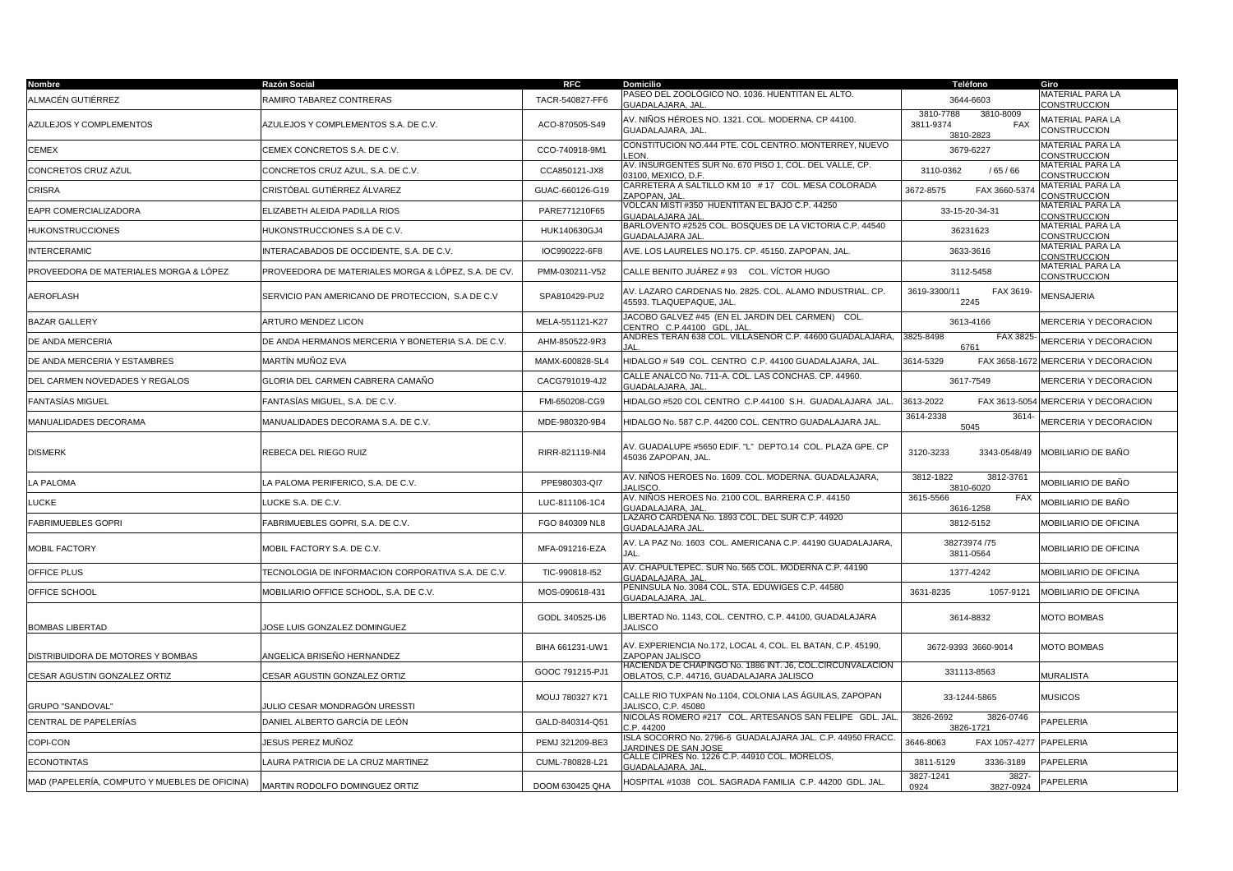| <b>Nombre</b>                                 | Razón Social                                        | <b>RFC</b>      | Domicilio                                                                                             | Teléfono                                                       | Giro                                    |
|-----------------------------------------------|-----------------------------------------------------|-----------------|-------------------------------------------------------------------------------------------------------|----------------------------------------------------------------|-----------------------------------------|
| ALMACÉN GUTIÉRREZ                             | RAMIRO TABAREZ CONTRERAS                            | TACR-540827-FF6 | PASEO DEL ZOOLÓGICO NO. 1036. HUENTITAN EL ALTO.<br>GUADALAJARA, JAL                                  | 3644-6603                                                      | MATERIAL PARA LA<br><b>CONSTRUCCION</b> |
| AZULEJOS Y COMPLEMENTOS                       | AZULEJOS Y COMPLEMENTOS S.A. DE C.V.                | ACO-870505-S49  | AV. NIÑOS HÉROES NO. 1321. COL. MODERNA. CP 44100.<br>GUADALAJARA, JAL.                               | 3810-7788<br>3810-8009<br>3811-9374<br><b>FAX</b><br>3810-2823 | <b>MATERIAL PARA LA</b><br>CONSTRUCCION |
| <b>CEMEX</b>                                  | CEMEX CONCRETOS S.A. DE C.V.                        | CCO-740918-9M1  | CONSTITUCION NO.444 PTE. COL CENTRO. MONTERREY, NUEVO<br>EON.                                         | 3679-6227                                                      | <b>MATERIAL PARA LA</b><br>CONSTRUCCION |
| CONCRETOS CRUZ AZUL                           | CONCRETOS CRUZ AZUL, S.A. DE C.V.                   | CCA850121-JX8   | AV. INSURGENTES SUR No. 670 PISO 1, COL. DEL VALLE, CP.<br>03100. MEXICO, D.F.                        | 3110-0362<br>/ 65 / 66                                         | MATERIAL PARA LA<br>CONSTRUCCION        |
| CRISRA                                        | CRISTÓBAL GUTIÉRREZ ÁLVAREZ                         | GUAC-660126-G19 | CARRETERA A SALTILLO KM 10 # 17 COL. MESA COLORADA<br>ZAPOPAN, JAL                                    | 3672-8575<br>FAX 3660-5374                                     | MATERIAL PARA LA<br>CONSTRUCCION        |
| EAPR COMERCIALIZADORA                         | ELIZABETH ALEIDA PADILLA RIOS                       | PARE771210F65   | VOLCAN MISTI #350 HUENTITAN EL BAJO C.P. 44250<br>GUADALAJARA JAI                                     | 33-15-20-34-31                                                 | MATERIAL PARA LA<br><b>CONSTRUCCION</b> |
| HUKONSTRUCCIONES                              | HUKONSTRUCCIONES S.A DE C.V.                        | HUK140630GJ4    | BARLOVENTO #2525 COL. BOSQUES DE LA VICTORIA C.P. 44540<br><b>GUADALAJARA JAL</b>                     | 36231623                                                       | MATERIAL PARA LA<br><b>CONSTRUCCION</b> |
| <b>INTERCERAMIC</b>                           | INTERACABADOS DE OCCIDENTE, S.A. DE C.V.            | IOC990222-6F8   | AVE. LOS LAURELES NO.175. CP. 45150. ZAPOPAN, JAL.                                                    | 3633-3616                                                      | MATERIAL PARA LA<br><b>CONSTRUCCION</b> |
| PROVEEDORA DE MATERIALES MORGA & LÓPEZ        | PROVEEDORA DE MATERIALES MORGA & LÓPEZ, S.A. DE CV. | PMM-030211-V52  | CALLE BENITO JUÁREZ # 93  COL. VÍCTOR HUGO                                                            | 3112-5458                                                      | MATERIAL PARA LA<br><b>CONSTRUCCION</b> |
| <b>AEROFLASH</b>                              | SERVICIO PAN AMERICANO DE PROTECCION, S.A DE C.V    | SPA810429-PU2   | AV. LAZARO CARDENAS No. 2825. COL. ALAMO INDUSTRIAL. CP.<br>45593. TLAQUEPAQUE, JAL.                  | 3619-3300/11<br>FAX 3619-<br>2245                              | <b>MENSAJERIA</b>                       |
| <b>BAZAR GALLERY</b>                          | <b>ARTURO MENDEZ LICON</b>                          | MELA-551121-K27 | JACOBO GALVEZ #45 (EN EL JARDIN DEL CARMEN) COL.<br>ENTRO C.P.44100 GDL. JAL                          | 3613-4166                                                      | MERCERIA Y DECORACION                   |
| DE ANDA MERCERIA                              | DE ANDA HERMANOS MERCERIA Y BONETERIA S.A. DE C.V.  | AHM-850522-9R3  | ANDRES TERAN 638 COL. VILLASENOR C.P. 44600 GUADALAJARA,                                              | 3825-8498<br>FAX 3825-<br>6761                                 | MERCERIA Y DECORACION                   |
| DE ANDA MERCERIA Y ESTAMBRES                  | MARTÍN MUÑOZ EVA                                    | MAMX-600828-SL4 | HIDALGO # 549 COL. CENTRO C.P. 44100 GUADALAJARA, JAL.                                                | 3614-5329                                                      | FAX 3658-1672 MERCERIA Y DECORACION     |
| DEL CARMEN NOVEDADES Y REGALOS                | GLORIA DEL CARMEN CABRERA CAMAÑO                    | CACG791019-4J2  | CALLE ANALCO No. 711-A. COL. LAS CONCHAS. CP. 44960.<br><b>GUADALAJARA, JAI</b>                       | 3617-7549                                                      | <b>MERCERIA Y DECORACION</b>            |
| <b>FANTASÍAS MIGUEL</b>                       | FANTASÍAS MIGUEL, S.A. DE C.V.                      | FMI-650208-CG9  | HIDALGO #520 COL CENTRO C.P.44100 S.H. GUADALAJARA JAL                                                | 3613-2022                                                      | FAX 3613-5054 MERCERIA Y DECORACION     |
| MANUALIDADES DECORAMA                         | MANUALIDADES DECORAMA S.A. DE C.V.                  | MDE-980320-9B4  | HIDALGO No. 587 C.P. 44200 COL. CENTRO GUADALAJARA JAL.                                               | 3614-2338<br>3614-<br>5045                                     | MERCERIA Y DECORACION                   |
| <b>DISMERK</b>                                | REBECA DEL RIEGO RUIZ                               | RIRR-821119-NI4 | AV. GUADALUPE #5650 EDIF. "L" DEPTO.14 COL. PLAZA GPE. CP<br>45036 ZAPOPAN, JAL                       | 3120-3233<br>3343-0548/49                                      | MOBILIARIO DE BAÑO                      |
| LA PALOMA                                     | LA PALOMA PERIFERICO, S.A. DE C.V.                  | PPE980303-QI7   | AV. NIÑOS HEROES No. 1609. COL. MODERNA. GUADALAJARA,<br><b>JALISCO</b>                               | 3812-1822<br>3812-3761<br>3810-6020                            | MOBILIARIO DE BAÑO                      |
| LUCKE                                         | LUCKE S.A. DE C.V.                                  | LUC-811106-1C4  | AV. NIÑOS HEROES No. 2100 COL. BARRERA C.P. 44150<br><b>SUADALAJARA, JAL</b>                          | 3615-5566<br><b>FAX</b><br>3616-1258                           | MOBILIARIO DE BAÑO                      |
| <b>FABRIMUEBLES GOPRI</b>                     | FABRIMUEBLES GOPRI, S.A. DE C.V.                    | FGO 840309 NL8  | LAZARO CARDENA No. 1893 COL. DEL SUR C.P. 44920<br><b>GUADALAJARA JAL</b>                             | 3812-5152                                                      | MOBILIARIO DE OFICINA                   |
| MOBIL FACTORY                                 | MOBIL FACTORY S.A. DE C.V.                          | MFA-091216-EZA  | AV. LA PAZ No. 1603 COL. AMERICANA C.P. 44190 GUADALAJARA,<br>JAL.                                    | 38273974 /75<br>3811-0564                                      | MOBILIARIO DE OFICINA                   |
| OFFICE PLUS                                   | TECNOLOGIA DE INFORMACION CORPORATIVA S.A. DE C.V.  | TIC-990818-I52  | AV. CHAPULTEPEC. SUR No. 565 COL. MODERNA C.P. 44190<br><b>GUADALAJARA, JAI</b>                       | 1377-4242                                                      | MOBILIARIO DE OFICINA                   |
| OFFICE SCHOOL                                 | MOBILIARIO OFFICE SCHOOL, S.A. DE C.V.              | MOS-090618-431  | PENINSULA No. 3084 COL. STA. EDUWIGES C.P. 44580<br>GUADALAJARA, JAL                                  | 3631-8235<br>1057-9121                                         | <b>MOBILIARIO DE OFICINA</b>            |
| <b>BOMBAS LIBERTAD</b>                        | JOSE LUIS GONZALEZ DOMINGUEZ                        | GODL 340525-IJ6 | LIBERTAD No. 1143, COL. CENTRO, C.P. 44100, GUADALAJARA<br><b>JALISCO</b>                             | 3614-8832                                                      | <b>MOTO BOMBAS</b>                      |
| DISTRIBUIDORA DE MOTORES Y BOMBAS             | ANGELICA BRISEÑO HERNANDEZ                          | BIHA 661231-UW1 | AV. EXPERIENCIA No.172, LOCAL 4, COL. EL BATAN, C.P. 45190,<br>ZAPOPAN JALISCO                        | 3672-9393 3660-9014                                            | <b>MOTO BOMBAS</b>                      |
| CESAR AGUSTIN GONZALEZ ORTIZ                  | CESAR AGUSTIN GONZALEZ ORTIZ                        | GOOC 791215-PJ1 | HACIENDA DE CHAPINGO No. 1886 INT. J6, COL.CIRCUNVALACION<br>OBLATOS, C.P. 44716, GUADALAJARA JALISCO | 331113-8563                                                    | <b>MURALISTA</b>                        |
| GRUPO "SANDOVAL"                              | IULIO CESAR MONDRAGÓN URESSTI                       | MOUJ 780327 K71 | CALLE RIO TUXPAN No.1104, COLONIA LAS ÁGUILAS, ZAPOPAN<br>JALISCO, C.P. 45080                         | 33-1244-5865                                                   | <b>MUSICOS</b>                          |
| CENTRAL DE PAPELERÍAS                         | DANIEL ALBERTO GARCÍA DE LEÓN                       | GALD-840314-Q51 | NICOLÁS ROMERO #217 COL. ARTESANOS SAN FELIPE GDL. JAL<br>E.P.44200                                   | 3826-2692<br>3826-0746<br>3826-1721                            | PAPELERIA                               |
| COPI-CON                                      | JESUS PEREZ MUÑOZ                                   | PEMJ 321209-BE3 | SLA SOCORRO No. 2796-6 GUADALAJARA JAL. C.P. 44950 FRACC<br>ARDINES DE SAN JOSE                       | 3646-8063<br>FAX 1057-4277                                     | PAPELERIA                               |
| <b>ECONOTINTAS</b>                            | LAURA PATRICIA DE LA CRUZ MARTINEZ                  | CUML-780828-L21 | CALLE CIPRES No. 1226 C.P. 44910 COL. MORELOS,<br><b>GUADALAJARA, JAL</b>                             | 3811-5129<br>3336-3189                                         | <b>PAPELERIA</b>                        |
| MAD (PAPELERÍA, COMPUTO Y MUEBLES DE OFICINA) | MARTIN RODOLFO DOMINGUEZ ORTIZ                      | DOOM 630425 QHA | HOSPITAL #1038 COL. SAGRADA FAMILIA C.P. 44200 GDL. JAL.                                              | 3827-1241<br>3827-<br>0924<br>3827-0924                        | PAPELERIA                               |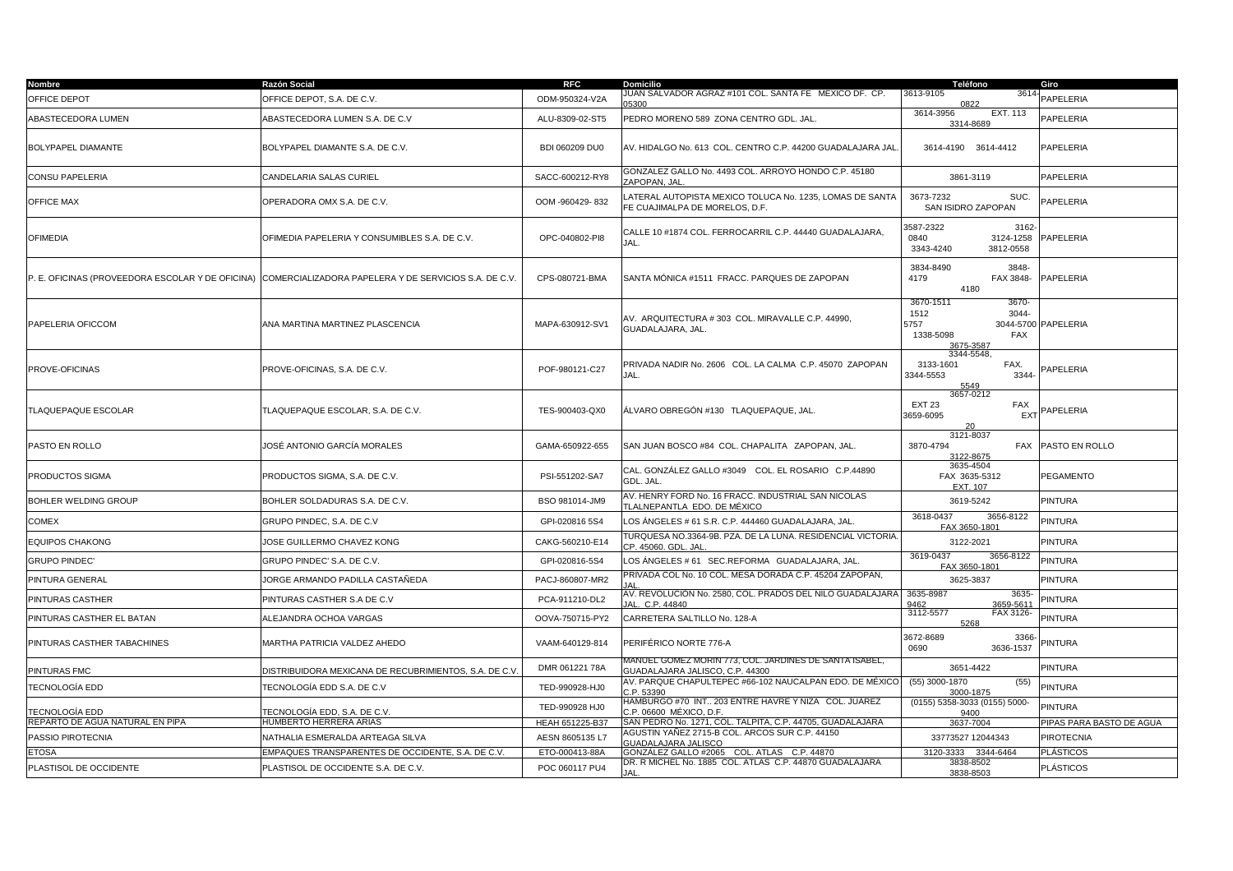| <b>Nombre</b>                                    | Razón Social                                           | <b>RFC</b>      | <b>Domicilio</b>                                                                                      | Teléfono                                                                     | Giro                     |
|--------------------------------------------------|--------------------------------------------------------|-----------------|-------------------------------------------------------------------------------------------------------|------------------------------------------------------------------------------|--------------------------|
| OFFICE DEPOT                                     | OFFICE DEPOT, S.A. DE C.V.                             | ODM-950324-V2A  | JUAN SALVADOR AGRAZ #101 COL. SANTA FE MEXICO DF. CP.                                                 | 3613-9105<br>361<br>0822                                                     | PAPELERIA                |
| ABASTECEDORA LUMEN                               | ABASTECEDORA LUMEN S.A. DE C.V                         | ALU-8309-02-ST5 | PEDRO MORENO 589 ZONA CENTRO GDL. JAL.                                                                | 3614-3956<br><b>EXT. 113</b><br>3314-8689                                    | PAPELERIA                |
| BOLYPAPEL DIAMANTE                               | BOLYPAPEL DIAMANTE S.A. DE C.V.                        | BDI 060209 DU0  | AV. HIDALGO No. 613 COL. CENTRO C.P. 44200 GUADALAJARA JAL                                            | 3614-4190 3614-4412                                                          | PAPELERIA                |
| CONSU PAPELERIA                                  | CANDELARIA SALAS CURIEL                                | SACC-600212-RY8 | GONZALEZ GALLO No. 4493 COL. ARROYO HONDO C.P. 45180<br>ZAPOPAN, JAL                                  | 3861-3119                                                                    | PAPELERIA                |
| <b>OFFICE MAX</b>                                | OPERADORA OMX S.A. DE C.V.                             | OOM -960429-832 | LATERAL AUTOPISTA MEXICO TOLUCA No. 1235, LOMAS DE SANTA<br>FE CUAJIMALPA DE MORELOS, D.F.            | 3673-7232<br>SUC.<br>SAN ISIDRO ZAPOPAN                                      | PAPELERIA                |
| <b>OFIMEDIA</b>                                  | OFIMEDIA PAPELERIA Y CONSUMIBLES S.A. DE C.V.          | OPC-040802-PI8  | CALLE 10 #1874 COL. FERROCARRIL C.P. 44440 GUADALAJARA,<br>JAL.                                       | 3587-2322<br>3162<br>0840<br>3124-1258<br>3343-4240<br>3812-0558             | PAPELERIA                |
| P. E. OFICINAS (PROVEEDORA ESCOLAR Y DE OFICINA) | COMERCIALIZADORA PAPELERA Y DE SERVICIOS S.A. DE C.V.  | CPS-080721-BMA  | SANTA MÓNICA #1511 FRACC. PARQUES DE ZAPOPAN                                                          | 3834-8490<br>3848-<br>4179<br>FAX 3848-<br>4180                              | PAPELERIA                |
| PAPELERIA OFICCOM                                | ANA MARTINA MARTINEZ PLASCENCIA                        | MAPA-630912-SV1 | AV. ARQUITECTURA # 303 COL. MIRAVALLE C.P. 44990,<br>GUADALAJARA, JAL.                                | 3670-1511<br>3670-<br>1512<br>3044-<br>5757<br>1338-5098<br>FAX<br>3675-3587 | 3044-5700 PAPELERIA      |
| PROVE-OFICINAS                                   | PROVE-OFICINAS, S.A. DE C.V.                           | POF-980121-C27  | PRIVADA NADIR No. 2606 COL. LA CALMA C.P. 45070 ZAPOPAN<br>JAL.                                       | 3344-5548,<br>3133-1601<br>FAX.<br>3344-5553<br>3344<br>5549                 | PAPELERIA                |
| TLAQUEPAQUE ESCOLAR                              | TLAQUEPAQUE ESCOLAR, S.A. DE C.V.                      | TES-900403-QX0  | ÁLVARO OBREGÓN #130   TLAQUEPAQUE, JAL.                                                               | 3657-0212<br><b>EXT 23</b><br>FAX<br>3659-6095<br><b>EXT</b>                 | PAPELERIA                |
| PASTO EN ROLLO                                   | JOSÉ ANTONIO GARCÍA MORALES                            | GAMA-650922-655 | SAN JUAN BOSCO #84 COL. CHAPALITA ZAPOPAN, JAL.                                                       | 3121-8037<br>3870-4794<br><b>FAX</b><br>3122-8675                            | PASTO EN ROLLO           |
| PRODUCTOS SIGMA                                  | PRODUCTOS SIGMA, S.A. DE C.V.                          | PSI-551202-SA7  | CAL. GONZÁLEZ GALLO #3049    COL. EL ROSARIO   C.P.44890<br>GDL. JAL.                                 | 3635-4504<br>FAX 3635-5312<br>EXT. 107                                       | PEGAMENTO                |
| BOHLER WELDING GROUP                             | BOHLER SOLDADURAS S.A. DE C.V.                         | BSO 981014-JM9  | AV. HENRY FORD No. 16 FRACC. INDUSTRIAL SAN NICOLAS<br>TLALNEPANTLA EDO. DE MÉXICO                    | 3619-5242                                                                    | <b>PINTURA</b>           |
| COMEX                                            | GRUPO PINDEC, S.A. DE C.V                              | GPI-020816 5S4  | LOS ÁNGELES # 61 S.R. C.P. 444460 GUADALAJARA, JAL.                                                   | 3656-8122<br>3618-0437<br>FAX 3650-1801                                      | <b>PINTURA</b>           |
| <b>EQUIPOS CHAKONG</b>                           | JOSE GUILLERMO CHAVEZ KONG                             | CAKG-560210-E14 | TURQUESA NO.3364-9B. PZA. DE LA LUNA. RESIDENCIAL VICTORIA<br>CP. 45060. GDL. JAL                     | 3122-2021                                                                    | <b>PINTURA</b>           |
| <b>GRUPO PINDEC'</b>                             | GRUPO PINDEC' S.A. DE C.V.                             | GPI-020816-5S4  | LOS ÀNGELES # 61   SEC.REFORMA   GUADALAJARA, JAL.                                                    | 3619-0437<br>3656-8122<br>FAX 3650-1801                                      | <b>PINTURA</b>           |
| PINTURA GENERAL                                  | JORGE ARMANDO PADILLA CASTAÑEDA                        | PACJ-860807-MR2 | PRIVADA COL No. 10 COL. MESA DORADA C.P. 45204 ZAPOPAN,                                               | 3625-3837                                                                    | <b>PINTURA</b>           |
| PINTURAS CASTHER                                 | PINTURAS CASTHER S.A DE C.V                            | PCA-911210-DL2  | AV. REVOLUCIÓN No. 2580, COL. PRADOS DEL NILO GUADALAJARA<br>JAL. C.P. 44840                          | 3635-8987<br>3635<br>9462<br>3659-5611                                       | <b>PINTURA</b>           |
| PINTURAS CASTHER EL BATAN                        | ALEJANDRA OCHOA VARGAS                                 | OOVA-750715-PY2 | CARRETERA SALTILLO No. 128-A                                                                          | 3112-5577<br>FAX 3126<br>5268                                                | <b>PINTURA</b>           |
| PINTURAS CASTHER TABACHINES                      | MARTHA PATRICIA VALDEZ AHEDO                           | VAAM-640129-814 | PERIFÉRICO NORTE 776-A                                                                                | 3672-8689<br>3366<br>0690<br>3636-1537                                       | PINTURA                  |
| PINTURAS FMC                                     | DISTRIBUIDORA MEXICANA DE RECUBRIMIENTOS, S.A. DE C.V. | DMR 061221 78A  | ANUEL GOMEZ MORIN 773, COL. JARDINES DE SANTA ISABEL,<br>GUADALAJARA JALISCO, C.P. 44300              | 3651-4422                                                                    | <b>PINTURA</b>           |
| TECNOLOGÍA EDD                                   | TECNOLOGÍA EDD S.A. DE C.V                             | TED-990928-HJ0  | AV. PARQUE CHAPULTEPEC #66-102 NAUCALPAN EDO. DE MÉXICO<br>C.P. 53390                                 | $(55)$ 3000-1870<br>(55)<br>3000-1875                                        | <b>PINTURA</b>           |
| TECNOLOGÍA EDD                                   | TECNOLOGÍA EDD, S.A. DE C.V.                           | TED-990928 HJ0  | HAMBURGO #70 INT 203 ENTRE HAVRE Y NIZA COL. JUAREZ<br>C.P. 06600 MÉXICO, D.F.                        | (0155) 5358-3033 (0155) 5000-<br>9400                                        | <b>PINTURA</b>           |
| REPARTO DE AGUA NATURAL EN PIPA                  | HUMBERTO HERRERA ARIAS                                 | HEAH 651225-B37 | SAN PEDRO No. 1271, COL. TALPITA, C.P. 44705, GUADALAJARA                                             | 3637-7004                                                                    | PIPAS PARA BASTO DE AGUA |
| PASSIO PIROTECNIA                                | NATHALIA ESMERALDA ARTEAGA SILVA                       | AESN 8605135 L7 | AGUSTIN YAÑEZ 2715-B COL. ARCOS SUR C.P. 44150<br>GUADALAJARA JALISCO                                 | 33773527 12044343                                                            | <b>PIROTECNIA</b>        |
| <b>ETOSA</b>                                     | EMPAQUES TRANSPARENTES DE OCCIDENTE, S.A. DE C.V       | ETO-000413-88A  | GONZÁLEZ GALLO #2065 COL. ATLAS C.P. 44870<br>DR. R MICHEL No. 1885 COL. ATLAS C.P. 44870 GUADALAJARA | 3120-3333 3344-6464                                                          | <b>PLÁSTICOS</b>         |
| PLASTISOL DE OCCIDENTE                           | PLASTISOL DE OCCIDENTE S.A. DE C.V.                    | POC 060117 PU4  | JAL.                                                                                                  | 3838-8502<br>3838-8503                                                       | <b>PLÁSTICOS</b>         |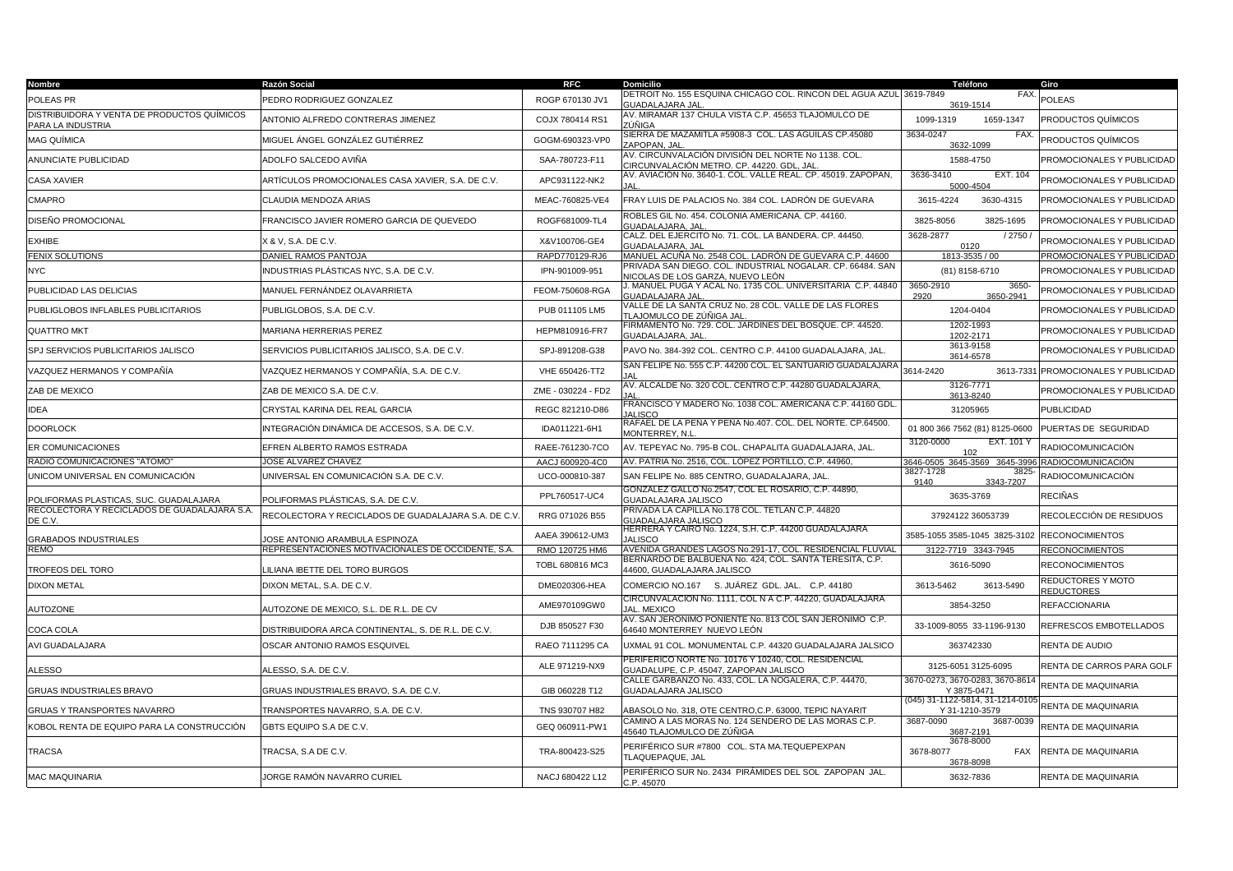| Nombre                                                           | Razón Social                                        | <b>RFC</b>         | <b>Domicilio</b>                                                                                 | Teléfono                                          | Giro                            |
|------------------------------------------------------------------|-----------------------------------------------------|--------------------|--------------------------------------------------------------------------------------------------|---------------------------------------------------|---------------------------------|
| POLEAS PR                                                        | PEDRO RODRIGUEZ GONZALEZ                            | ROGP 670130 JV1    | DETROIT No. 155 ESQUINA CHICAGO COL. RINCON DEL AGUA AZUL 3619-7849<br><b>GUADALAJARA JAL</b>    | FAX.<br>3619-1514                                 | POLEAS                          |
| DISTRIBUIDORA Y VENTA DE PRODUCTOS QUÍMICOS<br>PARA LA INDUSTRIA | ANTONIO ALFREDO CONTRERAS JIMENEZ                   | COJX 780414 RS1    | AV. MIRAMAR 137 CHULA VISTA C.P. 45653 TLAJOMULCO DE<br>ZÚÑIGA                                   | 1099-1319<br>1659-1347                            | PRODUCTOS QUÍMICOS              |
| <b>MAG QUÍMICA</b>                                               | MIGUEL ÁNGEL GONZÁLEZ GUTIÉRREZ                     | GOGM-690323-VP0    | SIERRA DE MAZAMITLA #5908-3  COL. LAS ÀGUILAS CP.45080<br><b>ZAPOPAN, JAL</b>                    | 3634-0247<br>FAX.<br>3632-1099                    | PRODUCTOS QUÍMICOS              |
| ANUNCIATE PUBLICIDAD                                             | ADOLFO SALCEDO AVIÑA                                | SAA-780723-F11     | AV. CIRCUNVALACIÓN DIVISIÓN DEL NORTE Nº 1138. COL.<br>CIRCUNVALACIÓN METRO. CP. 44220. GDL, JAL | 1588-4750                                         | PROMOCIONALES Y PUBLICIDAD      |
| CASA XAVIER                                                      | ARTÍCULOS PROMOCIONALES CASA XAVIER, S.A. DE C.V.   | APC931122-NK2      | AV. AVIACIÓN No. 3640-1. COL. VALLE REAL. CP. 45019. ZAPOPAN,                                    | 3636-3410<br>EXT. 104<br>5000-4504                | PROMOCIONALES Y PUBLICIDAD      |
| CMAPRO                                                           | CLAUDIA MENDOZA ARIAS                               | MEAC-760825-VE4    | FRAY LUIS DE PALACIOS No. 384 COL. LADRÓN DE GUEVARA                                             | 3615-4224<br>3630-4315                            | PROMOCIONALES Y PUBLICIDAD      |
| DISEÑO PROMOCIONAL                                               | FRANCISCO JAVIER ROMERO GARCIA DE QUEVEDO           | ROGF681009-TL4     | ROBLES GIL No. 454. COLONIA AMERICANA. CP. 44160.<br><b>GUADALAJARA, JAL</b>                     | 3825-1695<br>3825-8056                            | PROMOCIONALES Y PUBLICIDAD      |
| <b>EXHIBE</b>                                                    | <b>X &amp; V, S.A. DE C.V.</b>                      | X&V100706-GE4      | CALZ. DEL EJERCITO No. 71. COL. LA BANDERA. CP. 44450.<br><b>GUADALAJARA, JAL</b>                | 3628-2877<br>/2750<br>0120                        | PROMOCIONALES Y PUBLICIDAD      |
| <b>FENIX SOLUTIONS</b>                                           | DANIEL RAMOS PANTOJA                                | RAPD770129-RJ6     | MANUEL ACUÑA No. 2548 COL. LADRÓN DE GUEVARA C.P. 44600                                          | 1813-3535 / 00                                    | PROMOCIONALES Y PUBLICIDAD      |
| <b>NYC</b>                                                       | NDUSTRIAS PLÁSTICAS NYC, S.A. DE C.V.               | IPN-901009-951     | PRIVADA SAN DIEGO. COL. INDUSTRIAL NOGALAR. CP. 66484. SAN<br>NICOLAS DE LOS GARZA, NUEVO LEÓN   | (81) 8158-6710                                    | PROMOCIONALES Y PUBLICIDAD      |
| PUBLICIDAD LAS DELICIAS                                          | MANUEL FERNÁNDEZ OLAVARRIETA                        | FEOM-750608-RGA    | J. MANUEL PUGA Y ACAL No. 1735 COL. UNIVERSITARIA C.P. 44840<br><b>GUADALAJARA JAL</b>           | 3650-2910<br>3650-<br>3650-2941<br>2920           | PROMOCIONALES Y PUBLICIDAD      |
| PUBLIGLOBOS INFLABLES PUBLICITARIOS                              | PUBLIGLOBOS, S.A. DE C.V.                           | PUB 011105 LM5     | VALLE DE LA SANTA CRUZ No. 28 COL. VALLE DE LAS FLORES<br>TLAJOMULCO DE ZÚÑIGA JAL               | 1204-0404                                         | PROMOCIONALES Y PUBLICIDAD      |
| <b>QUATTRO MKT</b>                                               | MARIANA HERRERIAS PEREZ                             | HEPM810916-FR7     | FIRMAMENTO No. 729. COL. JARDINES DEL BOSQUE. CP. 44520.<br>GUADALAJARA, JAL                     | 1202-1993<br>1202-2171                            | PROMOCIONALES Y PUBLICIDAD      |
| SPJ SERVICIOS PUBLICITARIOS JALISCO                              | SERVICIOS PUBLICITARIOS JALISCO, S.A. DE C.V.       | SPJ-891208-G38     | PAVO No. 384-392 COL. CENTRO C.P. 44100 GUADALAJARA, JAL.                                        | 3613-9158<br>3614-6578                            | PROMOCIONALES Y PUBLICIDAD      |
| VAZQUEZ HERMANOS Y COMPAÑÍA                                      | /AZQUEZ HERMANOS Y COMPAÑÍA, S.A. DE C.V.           | VHE 650426-TT2     | SAN FELIPE No. 555 C.P. 44200 COL. EL SANTUARIO GUADALAJARA                                      | 3614-2420<br>3613-7331                            | PROMOCIONALES Y PUBLICIDAD      |
| ZAB DE MEXICO                                                    | ZAB DE MEXICO S.A. DE C.V.                          | ZME - 030224 - FD2 | AV. ALCALDE No. 320 COL. CENTRO C.P. 44280 GUADALAJARA,                                          | 3126-7771<br>3613-8240                            | PROMOCIONALES Y PUBLICIDAD      |
| <b>IDEA</b>                                                      | CRYSTAL KARINA DEL REAL GARCIA                      | REGC 821210-D86    | FRANCISCO Y MADERO No. 1038 COL. AMERICANA C.P. 44160 GDL.<br><b>IALISCO</b>                     | 31205965                                          | <b>PUBLICIDAD</b>               |
| <b>DOORLOCK</b>                                                  | INTEGRACIÓN DINÁMICA DE ACCESOS, S.A. DE C.V.       | IDA011221-6H1      | RAFAEL DE LA PEÑA Y PEÑA No.407. COL. DEL NORTE. CP.64500.<br>MONTERREY, N.L                     | 01 800 366 7562 (81) 8125-0600                    | PUERTAS DE SEGURIDAD            |
| ER COMUNICACIONES                                                | EFREN ALBERTO RAMOS ESTRADA                         | RAEE-761230-7CO    | AV. TEPEYAC No. 795-B COL. CHAPALITA GUADALAJARA, JAL.                                           | 3120-0000<br>EXT. 101 Y<br>102                    | RADIOCOMUNICACIÓN               |
| RADIO COMUNICACIONES "ATOMO"                                     | JOSE ALVAREZ CHAVEZ                                 | AACJ 600920-4C0    | AV. PATRIA No. 2516, COL. LOPEZ PORTILLO, C.P. 44960,                                            | 8646-0505 3645-3569 3645-399                      | RADIOCOMUNICACIÓN               |
| UNICOM UNIVERSAL EN COMUNICACIÓN                                 | UNIVERSAL EN COMUNICACIÓN S.A. DE C.V.              | UCO-000810-387     | SAN FELIPE No. 885 CENTRO, GUADALAJARA, JAL                                                      | 3827-1728<br>382<br>3343-7207<br>9140             | RADIOCOMUNICACIÓN               |
| POLIFORMAS PLASTICAS, SUC. GUADALAJARA                           | POLIFORMAS PLÁSTICAS, S.A. DE C.V.                  | PPL760517-UC4      | GONZALEZ GALLO No.2547, COL EL ROSARIO, C.P. 44890,<br>GUADALAJARA JALISCO                       | 3635-3769                                         | RECIÑAS                         |
| RECOLECTORA Y RECICLADOS DE GUADALAJARA S.A.<br>DE C.V.          | RECOLECTORA Y RECICLADOS DE GUADALAJARA S.A. DE C.V | RRG 071026 B55     | PRIVADA LA CAPILLA No.178 COL. TETLAN C.P. 44820<br><b>GUADALAJARA JALISCO</b>                   | 37924122 36053739                                 | RECOLECCIÓN DE RESIDUOS         |
| <b>GRABADOS INDUSTRIALES</b>                                     | <b>JOSE ANTONIO ARAMBULA ESPINOZA</b>               | AAEA 390612-UM3    | HERRERA Y CAIRO No. 1224, S.H. C.P. 44200 GUADALAJARA<br><b>JALISCO</b>                          | 3585-1055 3585-1045 3825-3102                     | <b>RECONOCIMIENTOS</b>          |
| REMO                                                             | REPRESENTACIONES MOTIVACIONALES DE OCCIDENTE, S.A.  | RMO 120725 HM6     | AVENIDA GRANDES LAGOS No.291-17, COL. RESIDENCIAL FLUVIAL                                        | 3122-7719 3343-7945                               | <b>RECONOCIMIENTOS</b>          |
| TROFEOS DEL TORO                                                 | ILIANA IBETTE DEL TORO BURGOS                       | TOBL 680816 MC3    | BERNARDO DE BALBUENA No. 424, COL. SANTA TERESITA, C.P.<br>44600, GUADALAJARA JALISCO            | 3616-5090                                         | <b>RECONOCIMIENTOS</b>          |
| <b>DIXON METAL</b>                                               | DIXON METAL, S.A. DE C.V.                           | DME020306-HEA      | COMERCIO NO.167 S. JUÁREZ GDL. JAL. C.P. 44180                                                   | 3613-5462<br>3613-5490                            | REDUCTORES Y MOTO<br>REDUCTORES |
| <b>AUTOZONE</b>                                                  | AUTOZONE DE MEXICO, S.L. DE R.L. DE CV              | AME970109GW0       | CIRCUNVALACION No. 1111, COL N A C.P. 44220, GUADALAJARA<br><b>JAL. MEXICO</b>                   | 3854-3250                                         | <b>REFACCIONARIA</b>            |
| COCA COLA                                                        | DISTRIBUIDORA ARCA CONTINENTAL, S. DE R.L. DE C.V.  | DJB 850527 F30     | AV. SAN JERONIMO PONIENTE No. 813 COL SAN JERONIMO C.P.<br>64640 MONTERREY NUEVO LEÓN            | 33-1009-8055 33-1196-9130                         | REFRESCOS EMBOTELLADOS          |
| AVI GUADALAJARA                                                  | OSCAR ANTONIO RAMOS ESQUIVEL                        | RAEO 7111295 CA    | UXMAL 91 COL. MONUMENTAL C.P. 44320 GUADALAJARA JALSICO                                          | 363742330                                         | RENTA DE AUDIO                  |
| ALESSO                                                           | ALESSO, S.A. DE C.V.                                | ALE 971219-NX9     | PERIFERICO NORTE No. 10176 Y 10240. COL. RESIDENCIAL<br>GUADALUPE, C.P. 45047, ZAPOPAN JALISCO   | 3125-6051 3125-6095                               | RENTA DE CARROS PARA GOLF       |
| <b>GRUAS INDUSTRIALES BRAVO</b>                                  | GRUAS INDUSTRIALES BRAVO, S.A. DE C.V.              | GIB 060228 T12     | CALLE GARBANZO No. 433, COL. LA NOGALERA, C.P. 44470,<br>GUADALAJARA JALISCO                     | 3670-0273, 3670-0283, 3670-8614<br>Y 3875-0471    | RENTA DE MAQUINARIA             |
| GRUAS Y TRANSPORTES NAVARRO                                      | TRANSPORTES NAVARRO, S.A. DE C.V.                   | TNS 930707 H82     | ABASOLO No. 318, OTE CENTRO,C.P. 63000, TEPIC NAYARIT                                            | (045) 31-1122-5814, 31-1214-010<br>Y 31-1210-3579 | RENTA DE MAQUINARIA             |
| KOBOL RENTA DE EQUIPO PARA LA CONSTRUCCIÓN                       | GBTS EQUIPO S.A DE C.V.                             | GEQ 060911-PW1     | CAMINO A LAS MORAS No. 124 SENDERO DE LAS MORAS C.P.<br>45640 TLAJOMULCO DE ZÚÑIGA               | 3687-0090<br>3687-0039<br>3687-2191               | RENTA DE MAQUINARIA             |
| TRACSA                                                           | TRACSA, S.A DE C.V.                                 | TRA-800423-S25     | PERIFÉRICO SUR #7800 COL. STA MA.TEQUEPEXPAN<br><b>TLAQUEPAQUE, JAL</b>                          | 3678-8000<br>3678-8077<br><b>FAX</b><br>3678-8098 | RENTA DE MAQUINARIA             |
| <b>MAC MAQUINARIA</b>                                            | JORGE RAMÓN NAVARRO CURIEL                          | NACJ 680422 L12    | PERIFÉRICO SUR No. 2434  PIRÁMIDES DEL SOL  ZAPOPAN  JAL.<br>C.P. 45070                          | 3632-7836                                         | RENTA DE MAQUINARIA             |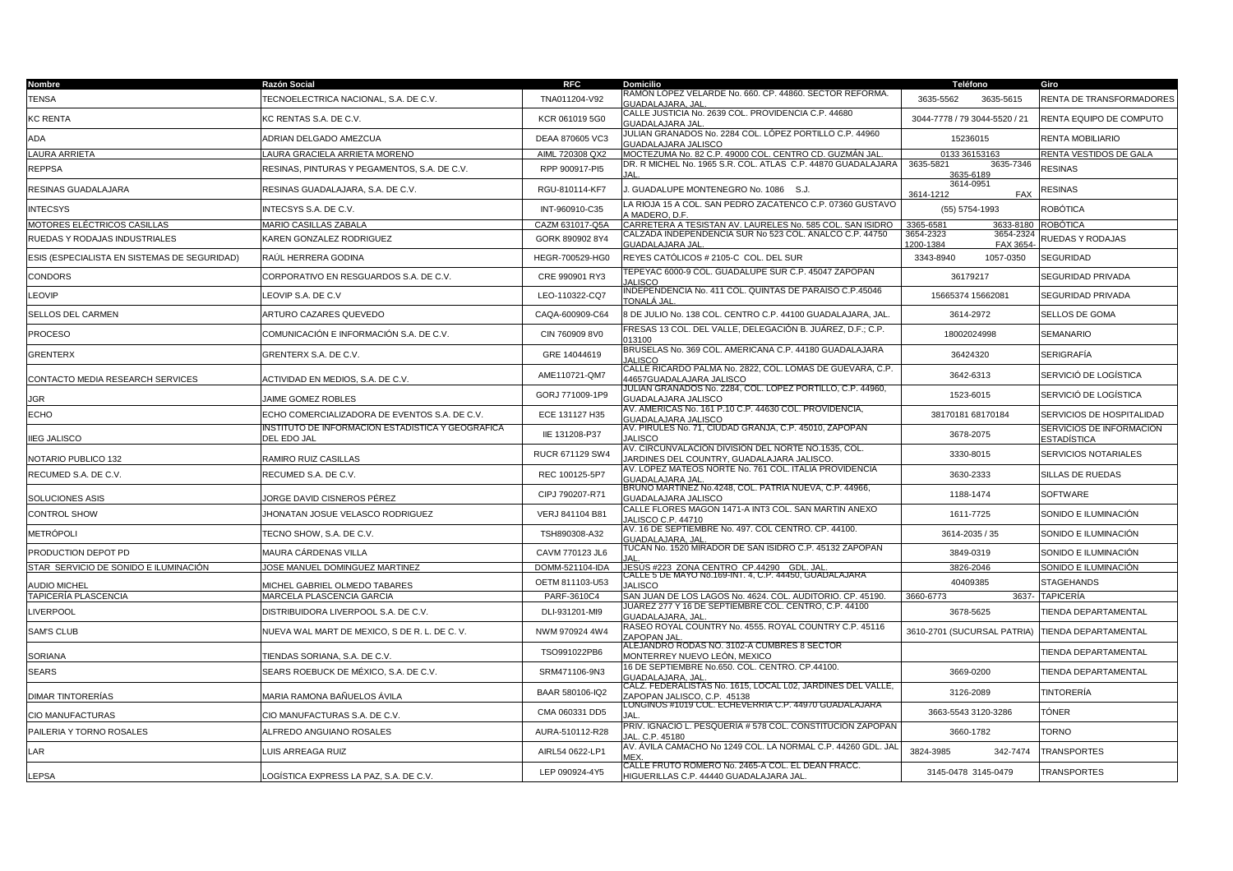| Nombre                                       | Razón Social                                                    | <b>RFC</b>                         | <b>Domicilio</b>                                                                                                    | Teléfono                                        | Giro                                    |
|----------------------------------------------|-----------------------------------------------------------------|------------------------------------|---------------------------------------------------------------------------------------------------------------------|-------------------------------------------------|-----------------------------------------|
| <b>TENSA</b>                                 | TECNOELECTRICA NACIONAL, S.A. DE C.V.                           | TNA011204-V92                      | RAMON LOPEZ VELARDE No. 660. CP. 44860. SECTOR REFORMA.<br>GUADALAJARA, JAI                                         | 3635-5615<br>3635-5562                          | RENTA DE TRANSFORMADORES                |
| KC RENTA                                     | KC RENTAS S.A. DE C.V.                                          | KCR 061019 5G0                     | CALLE JUSTICIA No. 2639 COL. PROVIDENCIA C.P. 44680<br>GUADALAJARA JAL                                              | 3044-7778 / 79 3044-5520 / 21                   | RENTA EQUIPO DE COMPUTO                 |
| ADA                                          | ADRIAN DELGADO AMEZCUA                                          | DEAA 870605 VC3                    | JULIAN GRANADOS No. 2284 COL. LÓPEZ PORTILLO C.P. 44960<br><u>GUADALAJARA JALISCO</u>                               | 15236015                                        | RENTA MOBILIARIO                        |
| LAURA ARRIETA                                | LAURA GRACIELA ARRIETA MORENO                                   | AIML 720308 QX2                    | MOCTEZUMA No. 82 C.P. 49000 COL. CENTRO CD. GUZMÁN JAL                                                              | 0133 36153163                                   | RENTA VESTIDOS DE GALA                  |
| REPPSA                                       | RESINAS, PINTURAS Y PEGAMENTOS, S.A. DE C.V.                    | RPP 900917-PI5                     | DR. R MICHEL No. 1965 S.R. COL. ATLAS C.P. 44870 GUADALAJARA                                                        | 3635-5821<br>3635-7346<br>3635-6189             | <b>RESINAS</b>                          |
| RESINAS GUADALAJARA                          | RESINAS GUADALAJARA, S.A. DE C.V.                               | RGU-810114-KF7                     | J. GUADALUPE MONTENEGRO No. 1086 S.J.                                                                               | 3614-0951<br>3614-1212<br><b>FAX</b>            | RESINAS                                 |
| NTECSYS                                      | INTECSYS S.A. DE C.V.                                           | INT-960910-C35                     | LA RIOJA 15 A COL. SAN PEDRO ZACATENCO C.P. 07360 GUSTAVO<br>A MADERO, D.F.                                         | (55) 5754-1993                                  | ROBÓTICA                                |
| MOTORES ELÉCTRICOS CASILLAS                  | MARIO CASILLAS ZABALA                                           | CAZM 631017-Q5A                    | CARRETERA A TESISTAN AV. LAURELES No. 585 COL. SAN ISIDRO                                                           | 3365-6581<br>3633-8180                          | ROBÓTICA                                |
| RUEDAS Y RODAJAS INDUSTRIALES                | KAREN GONZALEZ RODRIGUEZ                                        | GORK 890902 8Y4                    | CALZADA INDEPENDENCIA SUR No 523 COL. ANALCO C.P. 44750<br><b>GUADALAJARA JAL</b>                                   | 3654-2324<br>3654-2323<br>FAX 3654<br>1200-1384 | RUEDAS Y RODAJAS                        |
| ESIS (ESPECIALISTA EN SISTEMAS DE SEGURIDAD) | RAÚL HERRERA GODINA                                             | HEGR-700529-HG0                    | REYES CATÓLICOS # 2105-C COL. DEL SUR                                                                               | 1057-0350<br>3343-8940                          | SEGURIDAD                               |
| CONDORS                                      | CORPORATIVO EN RESGUARDOS S.A. DE C.V.                          | CRE 990901 RY3                     | <b>ΓΕΡΕΥΑC 6000-9 COL. GUADALUPE SUR C.P. 45047 ZAPOPAN</b><br>JALISCO                                              | 36179217                                        | SEGURIDAD PRIVADA                       |
| _EOVIP                                       | LEOVIP S.A. DE C.V                                              | LEO-110322-CQ7                     | INDEPENDENCIA No. 411 COL. QUINTAS DE PARAISO C.P.45046<br>TONALÁ JAL                                               | 15665374 15662081                               | SEGURIDAD PRIVADA                       |
| SELLOS DEL CARMEN                            | ARTURO CAZARES QUEVEDO                                          | CAQA-600909-C64                    | 8 DE JULIO No. 138 COL. CENTRO C.P. 44100 GUADALAJARA, JAL.                                                         | 3614-2972                                       | SELLOS DE GOMA                          |
| PROCESO                                      | COMUNICACIÓN E INFORMACIÓN S.A. DE C.V.                         | CIN 760909 8V0                     | FRESAS 13 COL. DEL VALLE, DELEGACIÓN B. JUÁREZ, D.F.; C.P.<br>013100                                                | 18002024998                                     | SEMANARIO                               |
| GRENTERX                                     | GRENTERX S.A. DE C.V.                                           | GRE 14044619                       | BRUSELAS No. 369 COL. AMERICANA C.P. 44180 GUADALAJARA<br><b>JALISCO</b>                                            | 36424320                                        | SERIGRAFÍA                              |
| CONTACTO MEDIA RESEARCH SERVICES             | ACTIVIDAD EN MEDIOS, S.A. DE C.V.                               | AME110721-QM7                      | CALLE RICARDO PALMA No. 2822, COL. LOMAS DE GUEVARA, C.P.<br>14657GUADALAJARA JALISCO                               | 3642-6313                                       | SERVICIÓ DE LOGÍSTICA                   |
| JGR                                          | JAIME GOMEZ ROBLES                                              | GORJ 771009-1P9                    | JULIAN GRANADOS No. 2284, COL. LOPEZ PORTILLO, C.P. 44960,<br>GUADALAJARA JALISCO                                   | 1523-6015                                       | SERVICIÓ DE LOGÍSTICA                   |
| ECHO                                         | ECHO COMERCIALIZADORA DE EVENTOS S.A. DE C.V.                   | ECE 131127 H35                     | AV. AMÉRICAS No. 161 P.10 C.P. 44630 COL. PROVIDENCIA,<br>GUADALAJARA JALISCO                                       | 38170181 68170184                               | SERVICIOS DE HOSPITALIDAD               |
| <b>IIEG JALISCO</b>                          | NSTITUTO DE INFORMACION ESTADISTICA Y GEOGRAFICA<br>DEL EDO JAL | IIE 131208-P37                     | AV. PIRULES No. 71, CIUDAD GRANJA, C.P. 45010, ZAPOPAN<br><b>JALISCO</b>                                            | 3678-2075                                       | SERVICIOS DE INFORMACIÓN<br>ESTADÍSTICA |
| NOTARIO PUBLICO 132                          | RAMIRO RUIZ CASILLAS                                            | RUCR 671129 SW4                    | AV. CIRCUNVALACION DIVISION DEL NORTE NO.1535, COL.<br>JARDINES DEL COUNTRY, GUADALAJARA JALISCO.                   | 3330-8015                                       | <b>SERVICIOS NOTARIALES</b>             |
| RECUMED S.A. DE C.V.                         | RECUMED S.A. DE C.V.                                            | REC 100125-5P7                     | AV. LÓPEZ MATEOS NORTE No. 761 COL. ITALIA PROVIDENCIA                                                              | 3630-2333                                       | SILLAS DE RUEDAS                        |
|                                              |                                                                 | CIPJ 790207-R71                    | GUADALAJARA JAI<br>BRUNO MARTINEZ No.4248, COL. PATRIA NUEVA, C.P. 44966,                                           | 1188-1474                                       | SOFTWARE                                |
| SOLUCIONES ASIS<br>CONTROL SHOW              | JORGE DAVID CISNEROS PÉREZ<br>JHONATAN JOSUE VELASCO RODRIGUEZ  | VERJ 841104 B81                    | GUADALAJARA JALISCO<br>CALLE FLORES MAGON 1471-A INT3 COL. SAN MARTIN ANEXO                                         | 1611-7725                                       | SONIDO E ILUMINACIÓN                    |
| METRÓPOLI                                    | TECNO SHOW, S.A. DE C.V.                                        | TSH890308-A32                      | JALISCO C.P. 44710<br>AV. 16 DE SEPTIEMBRE No. 497. COL CENTRO. CP. 44100.                                          | 3614-2035 / 35                                  | SONIDO E ILUMINACIÓN                    |
| PRODUCTION DEPOT PD                          | MAURA CÁRDENAS VILLA                                            | CAVM 770123 JL6                    | GUADALAJARA. JAI<br>TUCÀN No. 1520 MIRADOR DE SAN ISIDRO C.P. 45132 ZAPOPAN                                         | 3849-0319                                       | SONIDO E ILUMINACIÓN                    |
|                                              |                                                                 |                                    |                                                                                                                     |                                                 |                                         |
| STAR SERVICIO DE SONIDO E ILUMINACIÓN        | JOSE MANUEL DOMINGUEZ MARTINEZ                                  | DOMM-521104-IDA<br>OETM 811103-U53 | JESÚS #223 ZONA CENTRO CP.44290 GDL. JAL.<br>CALLE 5 DE MAYO No.169-INT. 4, C.P. 44450, GUADALAJARA                 | 3826-2046<br>40409385                           | SONIDO E ILUMINACIÓN<br>STAGEHANDS      |
| AUDIO MICHEL                                 | MICHEL GABRIEL OLMEDO TABARES                                   |                                    | <b>JALISCO</b>                                                                                                      |                                                 |                                         |
| TAPICERÍA PLASCENCIA                         | MARCELA PLASCENCIA GARCIA                                       | PARF-3610C4                        | SAN JUAN DE LOS LAGOS No. 4624. COL. AUDITORIO. CP. 45190.<br>JUÁREZ 277 Y 16 DE SEPTIEMBRE COL. CENTRO, C.P. 44100 | 3660-6773                                       | 3637- TAPICERÍA                         |
| <b>IVERPOOL</b>                              | DISTRIBUIDORA LIVERPOOL S.A. DE C.V.                            | DLI-931201-MI9                     | GUADALAJARA, JAL<br>RASEO ROYAL COUNTRY No. 4555. ROYAL COUNTRY C.P. 45116                                          | 3678-5625                                       | TIENDA DEPARTAMENTAL                    |
| SAM'S CLUB                                   | NUEVA WAL MART DE MEXICO. S DE R. L. DE C. V.                   | NWM 970924 4W4                     | ZAPOPAN JAL<br>ALEJANDRO RODAS NO. 3102-A CUMBRES 8 SECTOR                                                          | 3610-2701 (SUCURSAL PATRIA)                     | TIENDA DEPARTAMENTAL                    |
| SORIANA                                      | TIENDAS SORIANA, S.A. DE C.V.                                   | TSO991022PB6                       | MONTERREY NUEVO LEÓN, MEXICO                                                                                        |                                                 | TIENDA DEPARTAMENTAL                    |
| <b>SEARS</b>                                 | SEARS ROEBUCK DE MÉXICO, S.A. DE C.V.                           | SRM471106-9N3                      | 16 DE SEPTIEMBRE No.650. COL. CENTRO. CP.44100.<br>GUADALAJARA, JA                                                  | 3669-0200                                       | TIENDA DEPARTAMENTAL                    |
| DIMAR TINTORERÍAS                            | MARIA RAMONA BAÑUELOS ÁVILA                                     | BAAR 580106-IQ2                    | ĈÁLZ. FEDERALISTAS No. 1615, LOCAL L02, JARDINES DEL VALLE,<br>ZAPOPAN JALISCO, C.P. 45138                          | 3126-2089                                       | TINTORERÍA                              |
| CIO MANUFACTURAS                             | CIO MANUFACTURAS S.A. DE C.V.                                   | CMA 060331 DD5                     | LONGINOS #1019 COL. ECHEVERRIA C.P. 44970 GUADALAJARA                                                               | 3663-5543 3120-3286                             | TÒNER                                   |
| PAILERIA Y TORNO ROSALES                     | ALFREDO ANGUIANO ROSALES                                        | AURA-510112-R28                    | PRIV. IGNACIO L. PESQUERÍA # 578 COL. CONSTITUCIÓN ZAPOPAN<br>AL. C.P. 45180                                        | 3660-1782                                       | TORNO                                   |
| _AR                                          | LUIS ARREAGA RUIZ                                               | AIRL54 0622-LP1                    | AV. ÁVILA CAMACHO No 1249 COL. LA NORMAL C.P. 44260 GDL. JAI                                                        | 3824-3985<br>342-7474                           | <b>TRANSPORTES</b>                      |
| <b>EPSA</b>                                  | LOGÍSTICA EXPRESS LA PAZ, S.A. DE C.V.                          | LEP 090924-4Y5                     | CALLE FRUTO ROMERO No. 2465-A COL. EL DEAN FRACC.<br>HIGUERILLAS C.P. 44440 GUADALAJARA JAL                         | 3145-0478 3145-0479                             | TRANSPORTES                             |